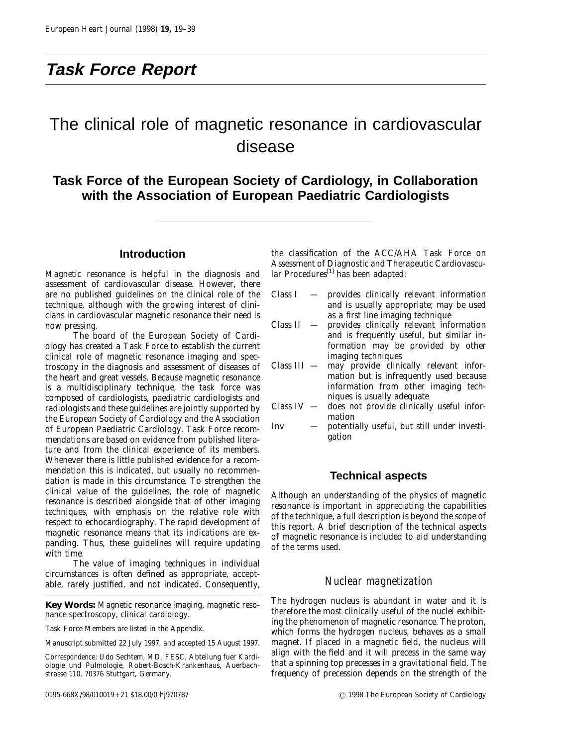# **Task Force Report**

# The clinical role of magnetic resonance in cardiovascular disease

# **Task Force of the European Society of Cardiology, in Collaboration with the Association of European Paediatric Cardiologists**

## **Introduction**

Magnetic resonance is helpful in the diagnosis and assessment of cardiovascular disease. However, there are no published guidelines on the clinical role of the technique, although with the growing interest of clinicians in cardiovascular magnetic resonance their need is now pressing.

The board of the European Society of Cardiology has created a Task Force to establish the current clinical role of magnetic resonance imaging and spectroscopy in the diagnosis and assessment of diseases of the heart and great vessels. Because magnetic resonance is a multidisciplinary technique, the task force was composed of cardiologists, paediatric cardiologists and radiologists and these guidelines are jointly supported by the European Society of Cardiology and the Association of European Paediatric Cardiology. Task Force recommendations are based on evidence from published literature and from the clinical experience of its members. Whenever there is little published evidence for a recommendation this is indicated, but usually no recommendation is made in this circumstance. To strengthen the clinical value of the guidelines, the role of magnetic resonance is described alongside that of other imaging techniques, with emphasis on the relative role with respect to echocardiography. The rapid development of magnetic resonance means that its indications are expanding. Thus, these guidelines will require updating with time.

The value of imaging techniques in individual circumstances is often defined as appropriate, acceptable, rarely justified, and not indicated. Consequently,

**Key Words:** Magnetic resonance imaging, magnetic resonance spectroscopy, clinical cardiology.

Task Force Members are listed in the Appendix.

Manuscript submitted 22 July 1997, and accepted 15 August 1997.

*Correspondence*: Udo Sechtem, MD, FESC, Abteilung fuer Kardiologie und Pulmologie, Robert-Bosch-Krankenhaus, Auerbachstrasse 110, 70376 Stuttgart, Germany.

the classification of the ACC/AHA Task Force on Assessment of Diagnostic and Therapeutic Cardiovascular Procedures<sup>[1]</sup> has been adapted:

- Class I provides clinically relevant information and is usually appropriate; may be used as a first line imaging technique
- Class II provides clinically relevant information and is frequently useful, but similar information may be provided by other imaging techniques
- Class III may provide clinically relevant information but is infrequently used because information from other imaging techniques is usually adequate
- Class IV does not provide clinically useful information
- Inv potentially useful, but still under investigation

#### **Technical aspects**

Although an understanding of the physics of magnetic resonance is important in appreciating the capabilities of the technique, a full description is beyond the scope of this report. A brief description of the technical aspects of magnetic resonance is included to aid understanding of the terms used.

## *Nuclear magnetization*

The hydrogen nucleus is abundant in water and it is therefore the most clinically useful of the nuclei exhibiting the phenomenon of magnetic resonance. The proton, which forms the hydrogen nucleus, behaves as a small magnet. If placed in a magnetic field, the nucleus will align with the field and it will precess in the same way that a spinning top precesses in a gravitational field. The frequency of precession depends on the strength of the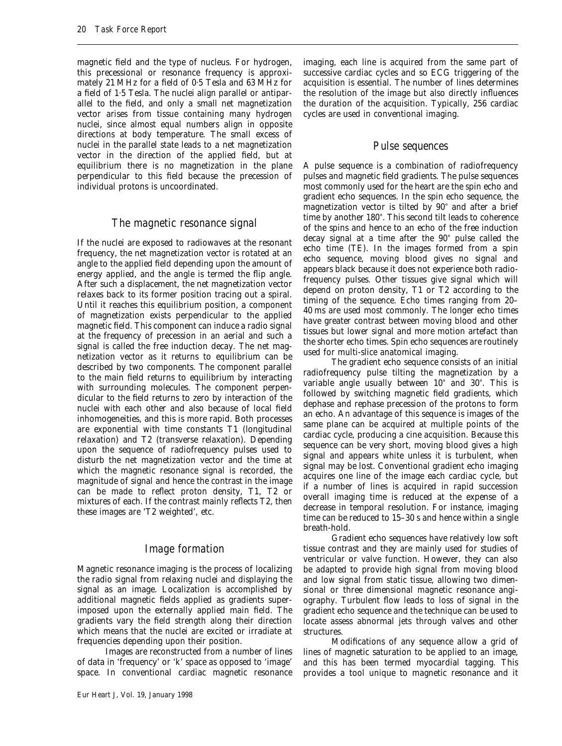magnetic field and the type of nucleus. For hydrogen, this precessional or resonance frequency is approximately 21 MHz for a field of 0·5 Tesla and 63 MHz for a field of 1·5 Tesla. The nuclei align parallel or antiparallel to the field, and only a small net magnetization vector arises from tissue containing many hydrogen nuclei, since almost equal numbers align in opposite directions at body temperature. The small excess of nuclei in the parallel state leads to a net magnetization vector in the direction of the applied field, but at equilibrium there is no magnetization in the plane perpendicular to this field because the precession of individual protons is uncoordinated.

#### *The magnetic resonance signal*

If the nuclei are exposed to radiowaves at the resonant frequency, the net magnetization vector is rotated at an angle to the applied field depending upon the amount of energy applied, and the angle is termed the flip angle. After such a displacement, the net magnetization vector relaxes back to its former position tracing out a spiral. Until it reaches this equilibrium position, a component of magnetization exists perpendicular to the applied magnetic field. This component can induce a radio signal at the frequency of precession in an aerial and such a signal is called the free induction decay. The net magnetization vector as it returns to equilibrium can be described by two components. The component parallel to the main field returns to equilibrium by interacting with surrounding molecules. The component perpendicular to the field returns to zero by interaction of the nuclei with each other and also because of local field inhomogeneities, and this is more rapid. Both processes are exponential with time constants T1 (longitudinal relaxation) and T2 (transverse relaxation). Depending upon the sequence of radiofrequency pulses used to disturb the net magnetization vector and the time at which the magnetic resonance signal is recorded, the magnitude of signal and hence the contrast in the image can be made to reflect proton density, T1, T2 or mixtures of each. If the contrast mainly reflects T2, then these images are 'T2 weighted', etc.

#### *Image formation*

Magnetic resonance imaging is the process of localizing the radio signal from relaxing nuclei and displaying the signal as an image. Localization is accomplished by additional magnetic fields applied as gradients superimposed upon the externally applied main field. The gradients vary the field strength along their direction which means that the nuclei are excited or irradiate at frequencies depending upon their position.

Images are reconstructed from a number of lines of data in 'frequency' or 'k' space as opposed to 'image' space. In conventional cardiac magnetic resonance

imaging, each line is acquired from the same part of successive cardiac cycles and so ECG triggering of the acquisition is essential. The number of lines determines the resolution of the image but also directly influences the duration of the acquisition. Typically, 256 cardiac cycles are used in conventional imaging.

## *Pulse sequences*

A pulse sequence is a combination of radiofrequency pulses and magnetic field gradients. The pulse sequences most commonly used for the heart are the spin echo and gradient echo sequences. In the spin echo sequence, the magnetization vector is tilted by  $90^\circ$  and after a brief time by another 180°. This second tilt leads to coherence of the spins and hence to an echo of the free induction decay signal at a time after the  $90^\circ$  pulse called the echo time (TE). In the images formed from a spin echo sequence, moving blood gives no signal and appears black because it does not experience both radiofrequency pulses. Other tissues give signal which will depend on proton density, T1 or T2 according to the timing of the sequence. Echo times ranging from 20– 40 ms are used most commonly. The longer echo times have greater contrast between moving blood and other tissues but lower signal and more motion artefact than the shorter echo times. Spin echo sequences are routinely used for multi-slice anatomical imaging.

The gradient echo sequence consists of an initial radiofrequency pulse tilting the magnetization by a variable angle usually between 10° and 30°. This is followed by switching magnetic field gradients, which dephase and rephase precession of the protons to form an echo. An advantage of this sequence is images of the same plane can be acquired at multiple points of the cardiac cycle, producing a cine acquisition. Because this sequence can be very short, moving blood gives a high signal and appears white unless it is turbulent, when signal may be lost. Conventional gradient echo imaging acquires one line of the image each cardiac cycle, but if a number of lines is acquired in rapid succession overall imaging time is reduced at the expense of a decrease in temporal resolution. For instance, imaging time can be reduced to 15–30 s and hence within a single breath-hold.

Gradient echo sequences have relatively low soft tissue contrast and they are mainly used for studies of ventricular or valve function. However, they can also be adapted to provide high signal from moving blood and low signal from static tissue, allowing two dimensional or three dimensional magnetic resonance angiography. Turbulent flow leads to loss of signal in the gradient echo sequence and the technique can be used to locate assess abnormal jets through valves and other structures.

Modifications of any sequence allow a grid of lines of magnetic saturation to be applied to an image, and this has been termed myocardial tagging. This provides a tool unique to magnetic resonance and it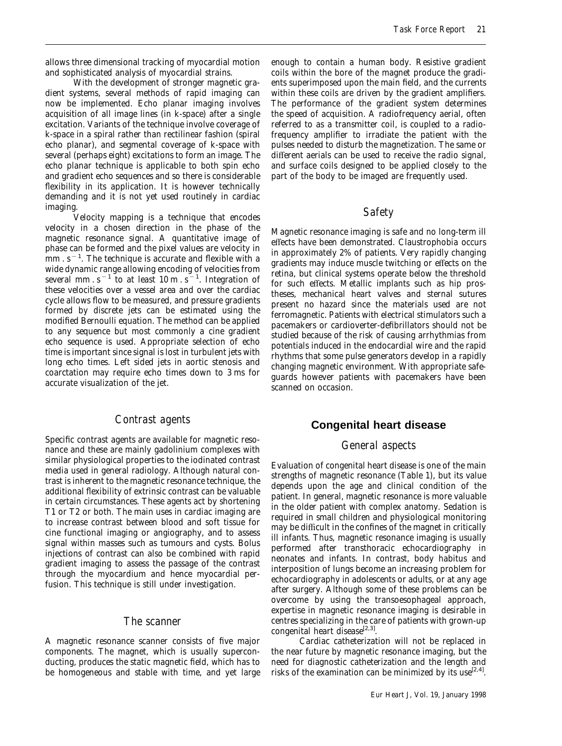allows three dimensional tracking of myocardial motion and sophisticated analysis of myocardial strains.

With the development of stronger magnetic gradient systems, several methods of rapid imaging can now be implemented. Echo planar imaging involves acquisition of all image lines (in k-space) after a single excitation. Variants of the technique involve coverage of k-space in a spiral rather than rectilinear fashion (spiral echo planar), and segmental coverage of k-space with several (perhaps eight) excitations to form an image. The echo planar technique is applicable to both spin echo and gradient echo sequences and so there is considerable flexibility in its application. It is however technically demanding and it is not yet used routinely in cardiac imaging.

Velocity mapping is a technique that encodes velocity in a chosen direction in the phase of the magnetic resonance signal. A quantitative image of phase can be formed and the pixel values are velocity in  $\text{mm}$  . s<sup>-1</sup>. The technique is accurate and flexible with a wide dynamic range allowing encoding of velocities from several mm  $s^{-1}$  to at least 10 m  $s^{-1}$ . Integration of these velocities over a vessel area and over the cardiac cycle allows flow to be measured, and pressure gradients formed by discrete jets can be estimated using the modified Bernoulli equation. The method can be applied to any sequence but most commonly a cine gradient echo sequence is used. Appropriate selection of echo time is important since signal is lost in turbulent jets with long echo times. Left sided jets in aortic stenosis and coarctation may require echo times down to 3 ms for accurate visualization of the jet.

#### *Contrast agents*

Specific contrast agents are available for magnetic resonance and these are mainly gadolinium complexes with similar physiological properties to the iodinated contrast media used in general radiology. Although natural contrast is inherent to the magnetic resonance technique, the additional flexibility of extrinsic contrast can be valuable in certain circumstances. These agents act by shortening T1 or T2 or both. The main uses in cardiac imaging are to increase contrast between blood and soft tissue for cine functional imaging or angiography, and to assess signal within masses such as tumours and cysts. Bolus injections of contrast can also be combined with rapid gradient imaging to assess the passage of the contrast through the myocardium and hence myocardial perfusion. This technique is still under investigation.

#### *The scanner*

A magnetic resonance scanner consists of five major components. The magnet, which is usually superconducting, produces the static magnetic field, which has to be homogeneous and stable with time, and yet large

enough to contain a human body. Resistive gradient coils within the bore of the magnet produce the gradients superimposed upon the main field, and the currents within these coils are driven by the gradient amplifiers. The performance of the gradient system determines the speed of acquisition. A radiofrequency aerial, often referred to as a transmitter coil, is coupled to a radiofrequency amplifier to irradiate the patient with the pulses needed to disturb the magnetization. The same or different aerials can be used to receive the radio signal, and surface coils designed to be applied closely to the part of the body to be imaged are frequently used.

## *Safety*

Magnetic resonance imaging is safe and no long-term ill effects have been demonstrated. Claustrophobia occurs in approximately 2% of patients. Very rapidly changing gradients may induce muscle twitching or effects on the retina, but clinical systems operate below the threshold for such effects. Metallic implants such as hip prostheses, mechanical heart valves and sternal sutures present no hazard since the materials used are not ferromagnetic. Patients with electrical stimulators such a pacemakers or cardioverter-defibrillators should not be studied because of the risk of causing arrhythmias from potentials induced in the endocardial wire and the rapid rhythms that some pulse generators develop in a rapidly changing magnetic environment. With appropriate safeguards however patients with pacemakers have been scanned on occasion.

#### **Congenital heart disease**

#### *General aspects*

Evaluation of congenital heart disease is one of the main strengths of magnetic resonance (Table 1), but its value depends upon the age and clinical condition of the patient. In general, magnetic resonance is more valuable in the older patient with complex anatomy. Sedation is required in small children and physiological monitoring may be difficult in the confines of the magnet in critically ill infants. Thus, magnetic resonance imaging is usually performed after transthoracic echocardiography in neonates and infants. In contrast, body habitus and interposition of lungs become an increasing problem for echocardiography in adolescents or adults, or at any age after surgery. Although some of these problems can be overcome by using the transoesophageal approach, expertise in magnetic resonance imaging is desirable in centres specializing in the care of patients with grown-up congenital heart disease<sup>[2,3]</sup>.

Cardiac catheterization will not be replaced in the near future by magnetic resonance imaging, but the need for diagnostic catheterization and the length and risks of the examination can be minimized by its use  $[2,4]$ .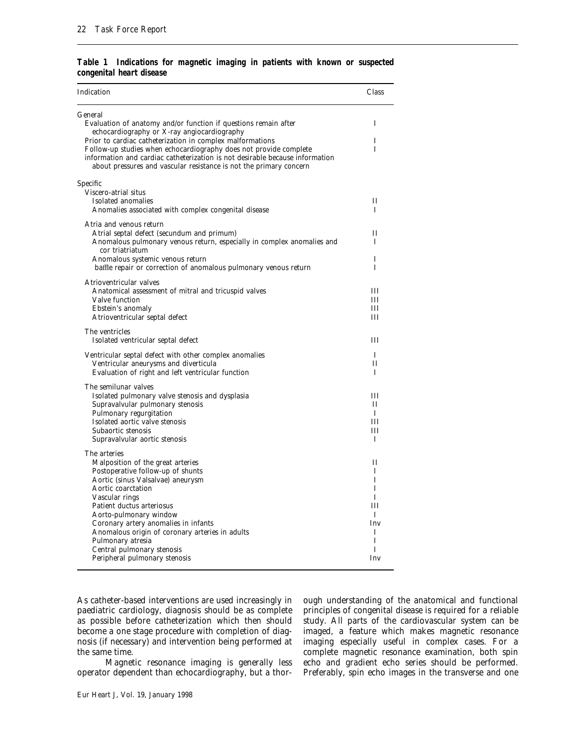|  | Table 1 Indications for magnetic imaging in patients with known or suspected |  |  |  |  |  |
|--|------------------------------------------------------------------------------|--|--|--|--|--|
|  | congenital heart disease                                                     |  |  |  |  |  |

| Indication                                                                                                                                                                                                                                                                                                                                                                                                | Class                                                          |
|-----------------------------------------------------------------------------------------------------------------------------------------------------------------------------------------------------------------------------------------------------------------------------------------------------------------------------------------------------------------------------------------------------------|----------------------------------------------------------------|
| General<br>Evaluation of anatomy and/or function if questions remain after<br>echocardiography or X-ray angiocardiography                                                                                                                                                                                                                                                                                 | T                                                              |
| Prior to cardiac catheterization in complex malformations<br>Follow-up studies when echocardiography does not provide complete<br>information and cardiac catheterization is not desirable because information<br>about pressures and vascular resistance is not the primary concern                                                                                                                      | I<br>T                                                         |
| Specific<br>Viscero-atrial situs<br>Isolated anomalies                                                                                                                                                                                                                                                                                                                                                    | $_{\rm II}$                                                    |
| Anomalies associated with complex congenital disease                                                                                                                                                                                                                                                                                                                                                      | L                                                              |
| Atria and venous return<br>Atrial septal defect (secundum and primum)<br>Anomalous pulmonary venous return, especially in complex anomalies and<br>cor triatriatum                                                                                                                                                                                                                                        | П<br>T                                                         |
| Anomalous systemic venous return<br>baffle repair or correction of anomalous pulmonary venous return                                                                                                                                                                                                                                                                                                      | Ι<br>$\mathbf{I}$                                              |
| Atrioventricular valves<br>Anatomical assessment of mitral and tricuspid valves<br>Valve function<br>Ebstein's anomaly<br>Atrioventricular septal defect                                                                                                                                                                                                                                                  | Ш<br>Ш<br>IΙI<br>III                                           |
| The ventricles<br>Isolated ventricular septal defect                                                                                                                                                                                                                                                                                                                                                      | Ш                                                              |
| Ventricular septal defect with other complex anomalies<br>Ventricular aneurysms and diverticula<br>Evaluation of right and left ventricular function                                                                                                                                                                                                                                                      | T<br>$_{\rm II}$<br>T                                          |
| The semilunar valves<br>Isolated pulmonary valve stenosis and dysplasia<br>Supravalvular pulmonary stenosis<br>Pulmonary regurgitation<br>Isolated aortic valve stenosis<br>Subaortic stenosis<br>Supravalvular aortic stenosis                                                                                                                                                                           | Ш<br>Н<br>L<br>Ш<br>III<br>T                                   |
| The arteries<br>Malposition of the great arteries<br>Postoperative follow-up of shunts<br>Aortic (sinus Valsalvae) aneurysm<br>Aortic coarctation<br>Vascular rings<br>Patient ductus arteriosus<br>Aorto-pulmonary window<br>Coronary artery anomalies in infants<br>Anomalous origin of coronary arteries in adults<br>Pulmonary atresia<br>Central pulmonary stenosis<br>Peripheral pulmonary stenosis | П<br>I<br>I<br>I<br>I<br>IΙI<br>L<br>Inv<br>I<br>I<br>T<br>Inv |
|                                                                                                                                                                                                                                                                                                                                                                                                           |                                                                |

As catheter-based interventions are used increasingly in paediatric cardiology, diagnosis should be as complete as possible before catheterization which then should become a one stage procedure with completion of diagnosis (if necessary) and intervention being performed at the same time.

Magnetic resonance imaging is generally less operator dependent than echocardiography, but a thor-

Eur Heart J, Vol. 19, January 1998

ough understanding of the anatomical and functional principles of congenital disease is required for a reliable study. All parts of the cardiovascular system can be imaged, a feature which makes magnetic resonance imaging especially useful in complex cases. For a complete magnetic resonance examination, both spin echo and gradient echo series should be performed. Preferably, spin echo images in the transverse and one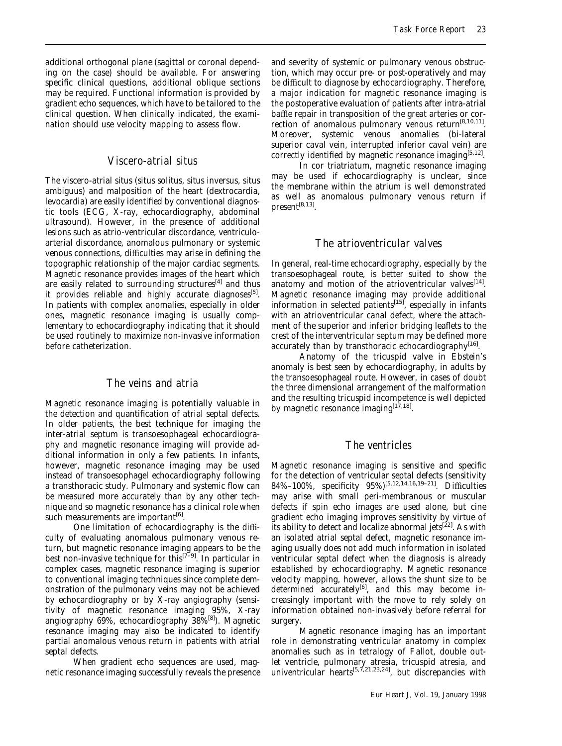additional orthogonal plane (sagittal or coronal depending on the case) should be available. For answering specific clinical questions, additional oblique sections may be required. Functional information is provided by gradient echo sequences, which have to be tailored to the clinical question. When clinically indicated, the examination should use velocity mapping to assess flow.

## *Viscero-atrial situs*

The viscero-atrial situs (situs solitus, situs inversus, situs ambiguus) and malposition of the heart (dextrocardia, levocardia) are easily identified by conventional diagnostic tools (ECG, X-ray, echocardiography, abdominal ultrasound). However, in the presence of additional lesions such as atrio-ventricular discordance, ventriculoarterial discordance, anomalous pulmonary or systemic venous connections, difficulties may arise in defining the topographic relationship of the major cardiac segments. Magnetic resonance provides images of the heart which are easily related to surrounding structures<sup>[4]</sup> and thus it provides reliable and highly accurate diagnoses<sup>[5]</sup>. In patients with complex anomalies, especially in older ones, magnetic resonance imaging is usually complementary to echocardiography indicating that it should be used routinely to maximize non-invasive information before catheterization.

## *The veins and atria*

Magnetic resonance imaging is potentially valuable in the detection and quantification of atrial septal defects. In older patients, the best technique for imaging the inter-atrial septum is transoesophageal echocardiography and magnetic resonance imaging will provide additional information in only a few patients. In infants, however, magnetic resonance imaging may be used instead of transoesophagel echocardiography following a transthoracic study. Pulmonary and systemic flow can be measured more accurately than by any other technique and so magnetic resonance has a clinical role when such measurements are important<sup>[6]</sup>.

One limitation of echocardiography is the difficulty of evaluating anomalous pulmonary venous return, but magnetic resonance imaging appears to be the best non-invasive technique for this<sup> $[7-9]$ </sup>. In particular in complex cases, magnetic resonance imaging is superior to conventional imaging techniques since complete demonstration of the pulmonary veins may not be achieved by echocardiography or by X-ray angiography (sensitivity of magnetic resonance imaging 95%, X-ray angiography 69%, echocardiography 38%[8]). Magnetic resonance imaging may also be indicated to identify partial anomalous venous return in patients with atrial septal defects.

When gradient echo sequences are used, magnetic resonance imaging successfully reveals the presence

and severity of systemic or pulmonary venous obstruction, which may occur pre- or post-operatively and may be difficult to diagnose by echocardiography. Therefore, a major indication for magnetic resonance imaging is the postoperative evaluation of patients after intra-atrial baffle repair in transposition of the great arteries or correction of anomalous pulmonary venous return<sup>[8,10,11]</sup>. Moreover, systemic venous anomalies (bi-lateral superior caval vein, interrupted inferior caval vein) are correctly identified by magnetic resonance imaging<sup>[5,12]</sup>.

In cor triatriatum, magnetic resonance imaging may be used if echocardiography is unclear, since the membrane within the atrium is well demonstrated as well as anomalous pulmonary venous return if  $present^{[8,13]}.$ 

## *The atrioventricular valves*

In general, real-time echocardiography, especially by the transoesophageal route, is better suited to show the anatomy and motion of the atrioventricular valves $[14]$ . Magnetic resonance imaging may provide additional information in selected patients<sup>[15]</sup>, especially in infants with an atrioventricular canal defect, where the attachment of the superior and inferior bridging leaflets to the crest of the interventricular septum may be defined more accurately than by transthoracic echocardiography<sup>[16]</sup>.

Anatomy of the tricuspid valve in Ebstein's anomaly is best seen by echocardiography, in adults by the transoesophageal route. However, in cases of doubt the three dimensional arrangement of the malformation and the resulting tricuspid incompetence is well depicted by magnetic resonance imaging $[17,18]$ .

#### *The ventricles*

Magnetic resonance imaging is sensitive and specific for the detection of ventricular septal defects (sensitivity 84%–100%, specificity 95%)[5,12,14,16,19–21]. Difficulties may arise with small peri-membranous or muscular defects if spin echo images are used alone, but cine gradient echo imaging improves sensitivity by virtue of its ability to detect and localize abnormal jets<sup>[22]</sup>. As with an isolated atrial septal defect, magnetic resonance imaging usually does not add much information in isolated ventricular septal defect when the diagnosis is already established by echocardiography. Magnetic resonance velocity mapping, however, allows the shunt size to be determined accurately<sup>[6]</sup>, and this may become increasingly important with the move to rely solely on information obtained non-invasively before referral for surgery.

Magnetic resonance imaging has an important role in demonstrating ventricular anatomy in complex anomalies such as in tetralogy of Fallot, double outlet ventricle, pulmonary atresia, tricuspid atresia, and univentricular hearts  $5,7,21,23,24$ , but discrepancies with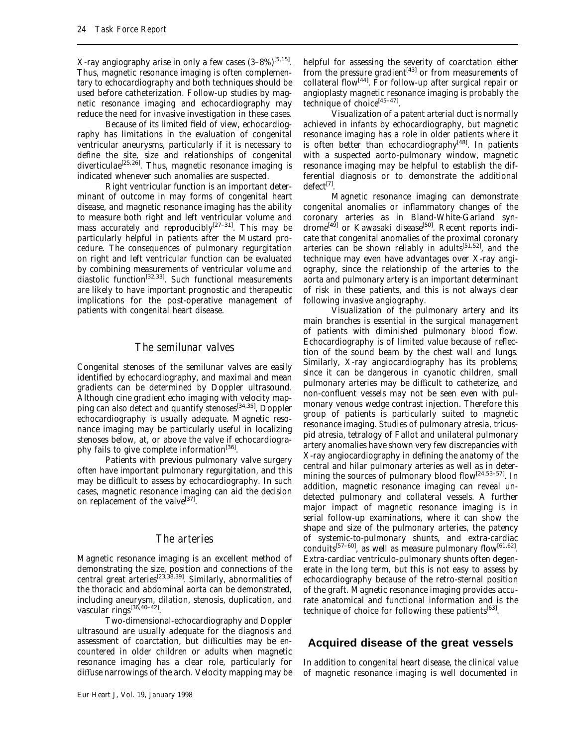X-ray angiography arise in only a few cases  $(3-8\%)^{[5,15]}$ . Thus, magnetic resonance imaging is often complementary to echocardiography and both techniques should be used before catheterization. Follow-up studies by magnetic resonance imaging and echocardiography may reduce the need for invasive investigation in these cases.

Because of its limited field of view, echocardiography has limitations in the evaluation of congenital ventricular aneurysms, particularly if it is necessary to define the site, size and relationships of congenital diverticulae<sup>[25,26]</sup>. Thus, magnetic resonance imaging is indicated whenever such anomalies are suspected.

Right ventricular function is an important determinant of outcome in may forms of congenital heart disease, and magnetic resonance imaging has the ability to measure both right and left ventricular volume and mass accurately and reproducibly<sup>[27-31]</sup>. This may be particularly helpful in patients after the Mustard procedure. The consequences of pulmonary regurgitation on right and left ventricular function can be evaluated by combining measurements of ventricular volume and diastolic function<sup>[32,33]</sup>. Such functional measurements are likely to have important prognostic and therapeutic implications for the post-operative management of patients with congenital heart disease.

## *The semilunar valves*

Congenital stenoses of the semilunar valves are easily identified by echocardiography, and maximal and mean gradients can be determined by Doppler ultrasound. Although cine gradient echo imaging with velocity mapping can also detect and quantify stenoses<sup>[34,35]</sup>, Doppler echocardiography is usually adequate. Magnetic resonance imaging may be particularly useful in localizing stenoses below, at, or above the valve if echocardiography fails to give complete information<sup>[36]</sup>.

Patients with previous pulmonary valve surgery often have important pulmonary regurgitation, and this may be difficult to assess by echocardiography. In such cases, magnetic resonance imaging can aid the decision on replacement of the valve $^{[37]}$ .

#### *The arteries*

Magnetic resonance imaging is an excellent method of demonstrating the size, position and connections of the central great arteries[23,38,39]. Similarly, abnormalities of the thoracic and abdominal aorta can be demonstrated, including aneurysm, dilation, stenosis, duplication, and vascular rings<sup>[36,40-42]</sup>.

Two-dimensional-echocardiography and Doppler ultrasound are usually adequate for the diagnosis and assessment of coarctation, but difficulties may be encountered in older children or adults when magnetic resonance imaging has a clear role, particularly for diffuse narrowings of the arch. Velocity mapping may be

helpful for assessing the severity of coarctation either from the pressure gradient<sup>[43]</sup> or from measurements of collateral flow<sup>[44]</sup>. For follow-up after surgical repair or angioplasty magnetic resonance imaging is probably the technique of choice<sup>[45-47]</sup>.

Visualization of a patent arterial duct is normally achieved in infants by echocardiography, but magnetic resonance imaging has a role in older patients where it is often better than echocardiography $[48]$ . In patients with a suspected aorto-pulmonary window, magnetic resonance imaging may be helpful to establish the differential diagnosis or to demonstrate the additional  $defect<sup>[7]</sup>$ .

Magnetic resonance imaging can demonstrate congenital anomalies or inflammatory changes of the coronary arteries as in Bland-White-Garland syndrome<sup>[49]</sup> or Kawasaki disease<sup>[50]</sup>. Recent reports indicate that congenital anomalies of the proximal coronary arteries can be shown reliably in adults<sup>[51,52]</sup>, and the technique may even have advantages over X-ray angiography, since the relationship of the arteries to the aorta and pulmonary artery is an important determinant of risk in these patients, and this is not always clear following invasive angiography.

Visualization of the pulmonary artery and its main branches is essential in the surgical management of patients with diminished pulmonary blood flow. Echocardiography is of limited value because of reflection of the sound beam by the chest wall and lungs. Similarly, X-ray angiocardiography has its problems; since it can be dangerous in cyanotic children, small pulmonary arteries may be difficult to catheterize, and non-confluent vessels may not be seen even with pulmonary venous wedge contrast injection. Therefore this group of patients is particularly suited to magnetic resonance imaging. Studies of pulmonary atresia, tricuspid atresia, tetralogy of Fallot and unilateral pulmonary artery anomalies have shown very few discrepancies with X-ray angiocardiography in defining the anatomy of the central and hilar pulmonary arteries as well as in determining the sources of pulmonary blood flow<sup>[24,53-57]</sup>. In addition, magnetic resonance imaging can reveal undetected pulmonary and collateral vessels. A further major impact of magnetic resonance imaging is in serial follow-up examinations, where it can show the shape and size of the pulmonary arteries, the patency of systemic-to-pulmonary shunts, and extra-cardiac conduits<sup>[57-60]</sup>, as well as measure pulmonary flow<sup>[61,62]</sup>. Extra-cardiac ventriculo-pulmonary shunts often degenerate in the long term, but this is not easy to assess by echocardiography because of the retro-sternal position of the graft. Magnetic resonance imaging provides accurate anatomical and functional information and is the technique of choice for following these patients<sup>[63]</sup>.

## **Acquired disease of the great vessels**

In addition to congenital heart disease, the clinical value of magnetic resonance imaging is well documented in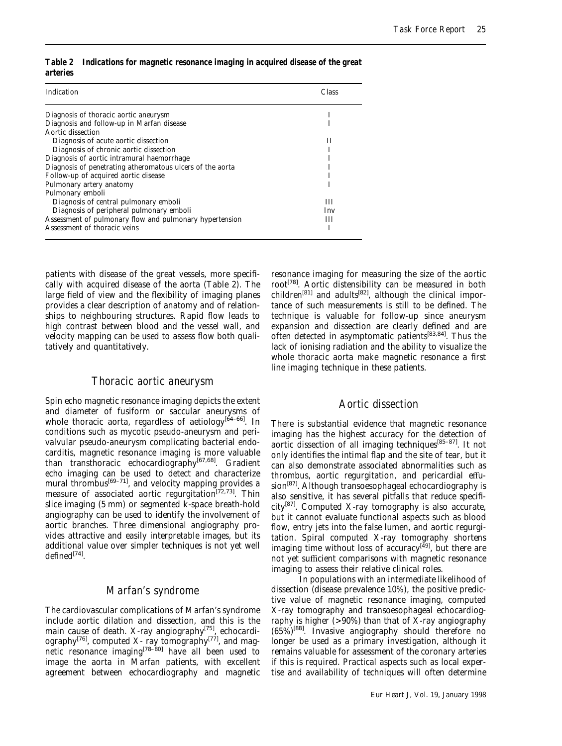| Indication                                                | Class |
|-----------------------------------------------------------|-------|
| Diagnosis of thoracic aortic aneurysm                     |       |
| Diagnosis and follow-up in Marfan disease                 |       |
| Aortic dissection                                         |       |
| Diagnosis of acute aortic dissection                      | Н     |
| Diagnosis of chronic aortic dissection                    |       |
| Diagnosis of aortic intramural haemorrhage                |       |
| Diagnosis of penetrating atheromatous ulcers of the aorta |       |
| Follow-up of acquired aortic disease                      |       |
| Pulmonary artery anatomy                                  |       |
| Pulmonary emboli                                          |       |
| Diagnosis of central pulmonary emboli                     | ш     |
| Diagnosis of peripheral pulmonary emboli                  | Inv   |
| Assessment of pulmonary flow and pulmonary hypertension   | Ш     |
| Assessment of thoracic veins                              |       |

*Table 2 Indications for magnetic resonance imaging in acquired disease of the great arteries*

patients with disease of the great vessels, more specifically with acquired disease of the aorta (Table 2). The large field of view and the flexibility of imaging planes provides a clear description of anatomy and of relationships to neighbouring structures. Rapid flow leads to high contrast between blood and the vessel wall, and velocity mapping can be used to assess flow both qualitatively and quantitatively.

#### *Thoracic aortic aneurysm*

Spin echo magnetic resonance imaging depicts the extent and diameter of fusiform or saccular aneurysms of whole thoracic aorta, regardless of aetiology<sup>[64-66]</sup>. In conditions such as mycotic pseudo-aneurysm and perivalvular pseudo-aneurysm complicating bacterial endocarditis, magnetic resonance imaging is more valuable than transthoracic echocardiography<sup>[67,68]</sup>. Gradient echo imaging can be used to detect and characterize mural thrombus<sup>[69–71]</sup>, and velocity mapping provides a measure of associated aortic regurgitation<sup>[72,73]</sup>. Thin slice imaging (5 mm) or segmented k-space breath-hold angiography can be used to identify the involvement of aortic branches. Three dimensional angiography provides attractive and easily interpretable images, but its additional value over simpler techniques is not yet well  $defined^{[74]}$ .

## *Marfan's syndrome*

The cardiovascular complications of Marfan's syndrome include aortic dilation and dissection, and this is the main cause of death. X-ray angiography<sup>[75]</sup>, echocardiography $^{[76]}$ , computed X- ray tomography $^{[77]}$ , and magnetic resonance imaging<sup>[78–80]</sup> have all been used to image the aorta in Marfan patients, with excellent agreement between echocardiography and magnetic

resonance imaging for measuring the size of the aortic root<sup>[78]</sup>. Aortic distensibility can be measured in both children<sup>[81]</sup> and adults<sup>[82]</sup>, although the clinical importance of such measurements is still to be defined. The technique is valuable for follow-up since aneurysm expansion and dissection are clearly defined and are often detected in asymptomatic patients<sup>[83,84]</sup>. Thus the lack of ionising radiation and the ability to visualize the whole thoracic aorta make magnetic resonance a first line imaging technique in these patients.

#### *Aortic dissection*

There is substantial evidence that magnetic resonance imaging has the highest accuracy for the detection of aortic dissection of all imaging techniques<sup>[85-87]</sup>. It not only identifies the intimal flap and the site of tear, but it can also demonstrate associated abnormalities such as thrombus, aortic regurgitation, and pericardial effu $sion^{[87]}$ . Although transoesophageal echocardiography is also sensitive, it has several pitfalls that reduce specifi $city<sup>[87]</sup>$ . Computed X-ray tomography is also accurate, but it cannot evaluate functional aspects such as blood flow, entry jets into the false lumen, and aortic regurgitation. Spiral computed X-ray tomography shortens imaging time without loss of accuracy<sup>[49]</sup>, but there are not yet sufficient comparisons with magnetic resonance imaging to assess their relative clinical roles.

In populations with an intermediate likelihood of dissection (disease prevalence 10%), the positive predictive value of magnetic resonance imaging, computed X-ray tomography and transoesophageal echocardiography is higher  $(>90%)$  than that of X-ray angiography  $(65%)^{[88]}$ . Invasive angiography should therefore no longer be used as a primary investigation, although it remains valuable for assessment of the coronary arteries if this is required. Practical aspects such as local expertise and availability of techniques will often determine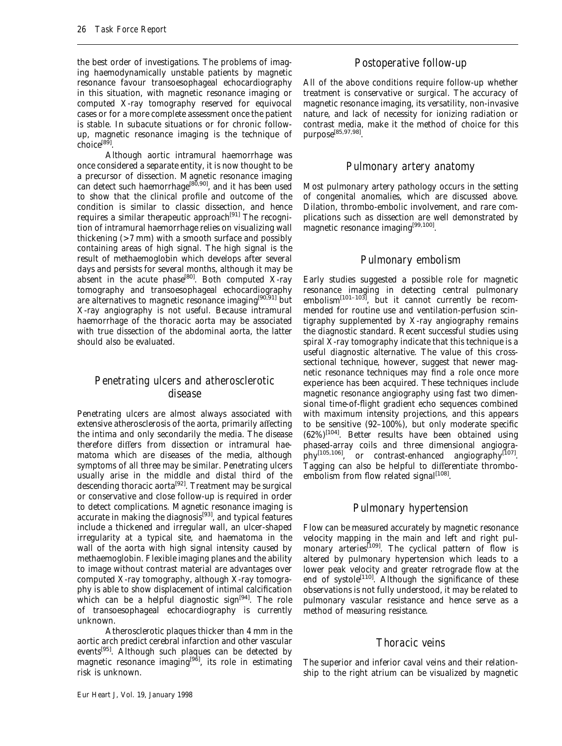the best order of investigations. The problems of imaging haemodynamically unstable patients by magnetic resonance favour transoesophageal echocardiography in this situation, with magnetic resonance imaging or computed X-ray tomography reserved for equivocal cases or for a more complete assessment once the patient is stable. In subacute situations or for chronic followup, magnetic resonance imaging is the technique of  $choice^{[89]}$ 

Although aortic intramural haemorrhage was once considered a separate entity, it is now thought to be a precursor of dissection. Magnetic resonance imaging can detect such haemorrhage<sup>[80,90]</sup>, and it has been used to show that the clinical profile and outcome of the condition is similar to classic dissection, and hence requires a similar therapeutic approach<sup>[91]</sup> The recognition of intramural haemorrhage relies on visualizing wall thickening (>7 mm) with a smooth surface and possibly containing areas of high signal. The high signal is the result of methaemoglobin which develops after several days and persists for several months, although it may be absent in the acute phase<sup>[80]</sup>. Both computed  $X$ -ray tomography and transoesophageal echocardiography are alternatives to magnetic resonance imaging<sup>[90,91]</sup> but X-ray angiography is not useful. Because intramural haemorrhage of the thoracic aorta may be associated with true dissection of the abdominal aorta, the latter should also be evaluated.

## *Penetrating ulcers and atherosclerotic disease*

Penetrating ulcers are almost always associated with extensive atherosclerosis of the aorta, primarily affecting the intima and only secondarily the media. The disease therefore differs from dissection or intramural haematoma which are diseases of the media, although symptoms of all three may be similar. Penetrating ulcers usually arise in the middle and distal third of the descending thoracic aorta<sup>[92]</sup>. Treatment may be surgical or conservative and close follow-up is required in order to detect complications. Magnetic resonance imaging is accurate in making the diagnosis[93], and typical features include a thickened and irregular wall, an ulcer-shaped irregularity at a typical site, and haematoma in the wall of the aorta with high signal intensity caused by methaemoglobin. Flexible imaging planes and the ability to image without contrast material are advantages over computed X-ray tomography, although X-ray tomography is able to show displacement of intimal calcification which can be a helpful diagnostic sign $[94]$ . The role of transoesophageal echocardiography is currently unknown.

Atherosclerotic plaques thicker than 4 mm in the aortic arch predict cerebral infarction and other vascular events<sup>[95]</sup>. Although such plaques can be detected by magnetic resonance imaging<sup>[96]</sup>, its role in estimating risk is unknown.

## *Postoperative follow-up*

All of the above conditions require follow-up whether treatment is conservative or surgical. The accuracy of magnetic resonance imaging, its versatility, non-invasive nature, and lack of necessity for ionizing radiation or contrast media, make it the method of choice for this purpose<sup>[85,97,98]</sup>

#### *Pulmonary artery anatomy*

Most pulmonary artery pathology occurs in the setting of congenital anomalies, which are discussed above. Dilation, thrombo-embolic involvement, and rare complications such as dissection are well demonstrated by magnetic resonance imaging<sup>[99,100]</sup>.

## *Pulmonary embolism*

Early studies suggested a possible role for magnetic resonance imaging in detecting central pulmonary embolism<sup>[101–103]</sup>, but it cannot currently be recommended for routine use and ventilation-perfusion scintigraphy supplemented by X-ray angiography remains the diagnostic standard. Recent successful studies using spiral X-ray tomography indicate that this technique is a useful diagnostic alternative. The value of this crosssectional technique, however, suggest that newer magnetic resonance techniques may find a role once more experience has been acquired. These techniques include magnetic resonance angiography using fast two dimensional time-of-flight gradient echo sequences combined with maximum intensity projections, and this appears to be sensitive (92–100%), but only moderate specific  $(62\%)$ <sup>[104]</sup>. Better results have been obtained using phased-array coils and three dimensional angiogra $phy^{[105,106]}$ , or contrast-enhanced angiography<sup>[107]</sup>. Tagging can also be helpful to differentiate thromboembolism from flow related signal<sup>[108]</sup>.

## *Pulmonary hypertension*

Flow can be measured accurately by magnetic resonance velocity mapping in the main and left and right pulmonary arteries<sup>[109]</sup>. The cyclical pattern of flow is altered by pulmonary hypertension which leads to a lower peak velocity and greater retrograde flow at the end of systole<sup>[110]</sup>. Although the significance of these observations is not fully understood, it may be related to pulmonary vascular resistance and hence serve as a method of measuring resistance.

## *Thoracic veins*

The superior and inferior caval veins and their relationship to the right atrium can be visualized by magnetic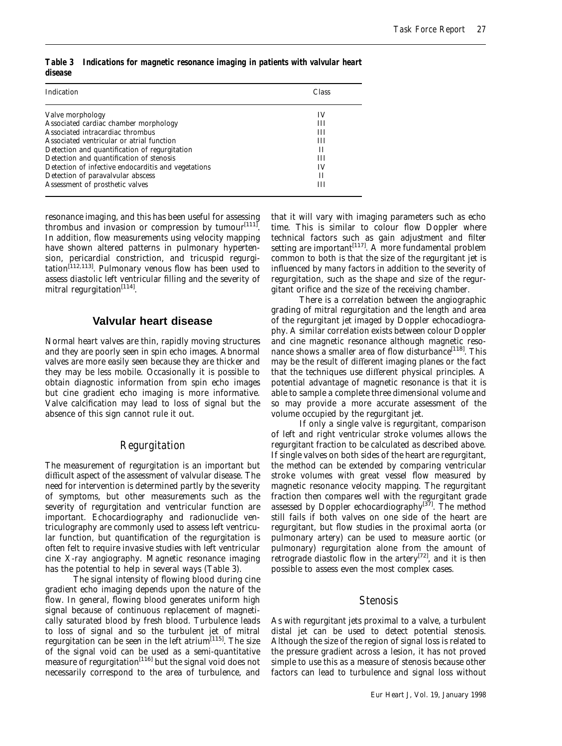| Indication                                          | Class |
|-----------------------------------------------------|-------|
| Valve morphology                                    | IV    |
| Associated cardiac chamber morphology               | Ш     |
| Associated intracardiac thrombus                    | ш     |
| Associated ventricular or atrial function           | Ш     |
| Detection and quantification of regurgitation       | Н     |
| Detection and quantification of stenosis            | Ш     |
| Detection of infective endocarditis and vegetations | IV    |
| Detection of paravalvular abscess                   | Н     |
| Assessment of prosthetic valves                     | ш     |

*Table 3 Indications for magnetic resonance imaging in patients with valvular heart disease*

resonance imaging, and this has been useful for assessing thrombus and invasion or compression by tumour $[111]$ . In addition, flow measurements using velocity mapping have shown altered patterns in pulmonary hypertension, pericardial constriction, and tricuspid regurgi- $\tanh^{[112,113]}$ . Pulmonary venous flow has been used to assess diastolic left ventricular filling and the severity of mitral regurgitation $^{[114]}$ .

#### **Valvular heart disease**

Normal heart valves are thin, rapidly moving structures and they are poorly seen in spin echo images. Abnormal valves are more easily seen because they are thicker and they may be less mobile. Occasionally it is possible to obtain diagnostic information from spin echo images but cine gradient echo imaging is more informative. Valve calcification may lead to loss of signal but the absence of this sign cannot rule it out.

## *Regurgitation*

The measurement of regurgitation is an important but difficult aspect of the assessment of valvular disease. The need for intervention is determined partly by the severity of symptoms, but other measurements such as the severity of regurgitation and ventricular function are important. Echocardiography and radionuclide ventriculography are commonly used to assess left ventricular function, but quantification of the regurgitation is often felt to require invasive studies with left ventricular cine X-ray angiography. Magnetic resonance imaging has the potential to help in several ways (Table 3).

The signal intensity of flowing blood during cine gradient echo imaging depends upon the nature of the flow. In general, flowing blood generates uniform high signal because of continuous replacement of magnetically saturated blood by fresh blood. Turbulence leads to loss of signal and so the turbulent jet of mitral regurgitation can be seen in the left atrium<sup>[115]</sup>. The size of the signal void can be used as a semi-quantitative measure of regurgitation<sup>[116]</sup> but the signal void does not necessarily correspond to the area of turbulence, and

that it will vary with imaging parameters such as echo time. This is similar to colour flow Doppler where technical factors such as gain adjustment and filter setting are important $\left[117\right]$ . A more fundamental problem common to both is that the size of the regurgitant jet is influenced by many factors in addition to the severity of regurgitation, such as the shape and size of the regurgitant orifice and the size of the receiving chamber.

There is a correlation between the angiographic grading of mitral regurgitation and the length and area of the regurgitant jet imaged by Doppler echocadiography. A similar correlation exists between colour Doppler and cine magnetic resonance although magnetic resonance shows a smaller area of flow disturbance<sup>[118]</sup>. This may be the result of different imaging planes or the fact that the techniques use different physical principles. A potential advantage of magnetic resonance is that it is able to sample a complete three dimensional volume and so may provide a more accurate assessment of the volume occupied by the regurgitant jet.

If only a single valve is regurgitant, comparison of left and right ventricular stroke volumes allows the regurgitant fraction to be calculated as described above. If single valves on both sides of the heart are regurgitant, the method can be extended by comparing ventricular stroke volumes with great vessel flow measured by magnetic resonance velocity mapping. The regurgitant fraction then compares well with the regurgitant grade assessed by Doppler echocardiography<sup>[37]</sup>. The method still fails if both valves on one side of the heart are regurgitant, but flow studies in the proximal aorta (or pulmonary artery) can be used to measure aortic (or pulmonary) regurgitation alone from the amount of retrograde diastolic flow in the artery<sup>[72]</sup>, and it is then possible to assess even the most complex cases.

#### *Stenosis*

As with regurgitant jets proximal to a valve, a turbulent distal jet can be used to detect potential stenosis. Although the size of the region of signal loss is related to the pressure gradient across a lesion, it has not proved simple to use this as a measure of stenosis because other factors can lead to turbulence and signal loss without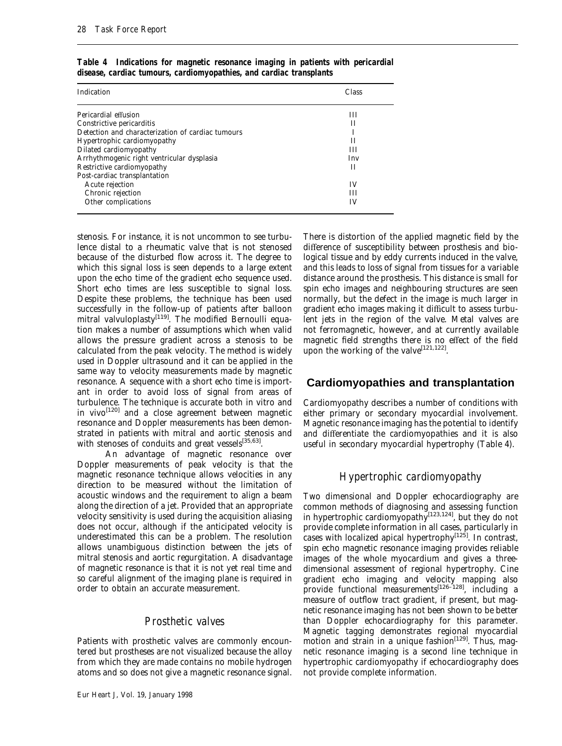| Indication                                        | Class |
|---------------------------------------------------|-------|
| Pericardial effusion                              | ш     |
| Constrictive pericarditis                         | Н     |
| Detection and characterization of cardiac tumours |       |
| Hypertrophic cardiomyopathy                       | Н     |
| Dilated cardiomyopathy                            | Ш     |
| Arrhythmogenic right ventricular dysplasia        | Inv   |
| Restrictive cardiomyopathy                        | Н     |
| Post-cardiac transplantation                      |       |
| Acute rejection                                   | IV    |
| Chronic rejection                                 | Ш     |
| Other complications                               | IV    |

*Table 4 Indications for magnetic resonance imaging in patients with pericardial disease, cardiac tumours, cardiomyopathies, and cardiac transplants*

stenosis. For instance, it is not uncommon to see turbulence distal to a rheumatic valve that is not stenosed because of the disturbed flow across it. The degree to which this signal loss is seen depends to a large extent upon the echo time of the gradient echo sequence used. Short echo times are less susceptible to signal loss. Despite these problems, the technique has been used successfully in the follow-up of patients after balloon mitral valvuloplasty<sup>[119]</sup>. The modified Bernoulli equation makes a number of assumptions which when valid allows the pressure gradient across a stenosis to be calculated from the peak velocity. The method is widely used in Doppler ultrasound and it can be applied in the same way to velocity measurements made by magnetic resonance. A sequence with a short echo time is important in order to avoid loss of signal from areas of turbulence. The technique is accurate both in vitro and in vivo<sup>[120]</sup> and a close agreement between magnetic resonance and Doppler measurements has been demonstrated in patients with mitral and aortic stenosis and with stenoses of conduits and great vessels $^{[35,63]}$ .

An advantage of magnetic resonance over Doppler measurements of peak velocity is that the magnetic resonance technique allows velocities in any direction to be measured without the limitation of acoustic windows and the requirement to align a beam along the direction of a jet. Provided that an appropriate velocity sensitivity is used during the acquisition aliasing does not occur, although if the anticipated velocity is underestimated this can be a problem. The resolution allows unambiguous distinction between the jets of mitral stenosis and aortic regurgitation. A disadvantage of magnetic resonance is that it is not yet real time and so careful alignment of the imaging plane is required in order to obtain an accurate measurement.

#### *Prosthetic valves*

Patients with prosthetic valves are commonly encountered but prostheses are not visualized because the alloy from which they are made contains no mobile hydrogen atoms and so does not give a magnetic resonance signal.

There is distortion of the applied magnetic field by the difference of susceptibility between prosthesis and biological tissue and by eddy currents induced in the valve, and this leads to loss of signal from tissues for a variable distance around the prosthesis. This distance is small for spin echo images and neighbouring structures are seen normally, but the defect in the image is much larger in gradient echo images making it difficult to assess turbulent jets in the region of the valve. Metal valves are not ferromagnetic, however, and at currently available magnetic field strengths there is no effect of the field upon the working of the valve<sup>[121,122]</sup>.

#### **Cardiomyopathies and transplantation**

Cardiomyopathy describes a number of conditions with either primary or secondary myocardial involvement. Magnetic resonance imaging has the potential to identify and differentiate the cardiomyopathies and it is also useful in secondary myocardial hypertrophy (Table 4).

#### *Hypertrophic cardiomyopathy*

Two dimensional and Doppler echocardiography are common methods of diagnosing and assessing function in hypertrophic cardiomyopathy<sup>[123,124]</sup>, but they do not provide complete information in all cases, particularly in cases with localized apical hypertrophy<sup>[125]</sup>. In contrast, spin echo magnetic resonance imaging provides reliable images of the whole myocardium and gives a threedimensional assessment of regional hypertrophy. Cine gradient echo imaging and velocity mapping also provide functional measurements<sup>[126-128]</sup>, including a measure of outflow tract gradient, if present, but magnetic resonance imaging has not been shown to be better than Doppler echocardiography for this parameter. Magnetic tagging demonstrates regional myocardial motion and strain in a unique fashion<sup>[129]</sup>. Thus, magnetic resonance imaging is a second line technique in hypertrophic cardiomyopathy if echocardiography does not provide complete information.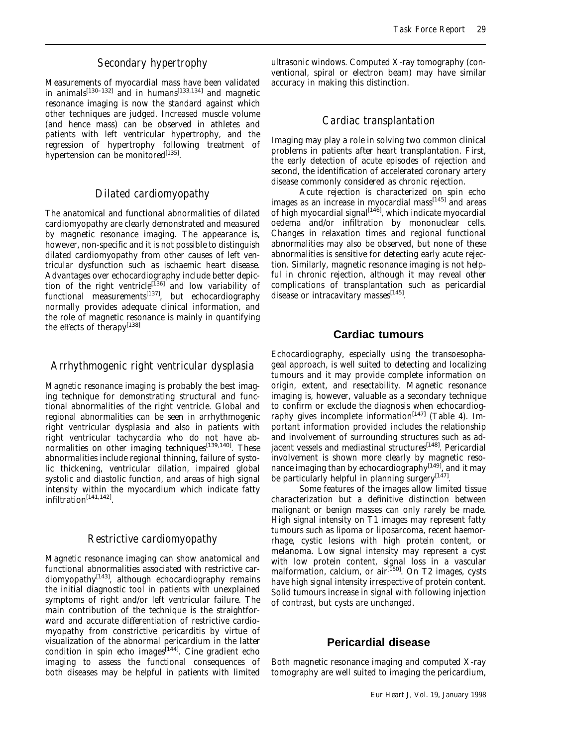## *Secondary hypertrophy*

Measurements of myocardial mass have been validated in animals<sup>[130–132]</sup> and in humans<sup>[133,134]</sup> and magnetic resonance imaging is now the standard against which other techniques are judged. Increased muscle volume (and hence mass) can be observed in athletes and patients with left ventricular hypertrophy, and the regression of hypertrophy following treatment of hypertension can be monitored $[135]$ .

## *Dilated cardiomyopathy*

The anatomical and functional abnormalities of dilated cardiomyopathy are clearly demonstrated and measured by magnetic resonance imaging. The appearance is, however, non-specific and it is not possible to distinguish dilated cardiomyopathy from other causes of left ventricular dysfunction such as ischaemic heart disease. Advantages over echocardiography include better depiction of the right ventricle<sup>[136]</sup> and low variability of functional measurements<sup>[137]</sup>, but echocardiography normally provides adequate clinical information, and the role of magnetic resonance is mainly in quantifying the effects of therapy<sup>[138]</sup>

## *Arrhythmogenic right ventricular dysplasia*

Magnetic resonance imaging is probably the best imaging technique for demonstrating structural and functional abnormalities of the right ventricle. Global and regional abnormalities can be seen in arrhythmogenic right ventricular dysplasia and also in patients with right ventricular tachycardia who do not have abnormalities on other imaging techniques $^{[139,140]}$ . These abnormalities include regional thinning, failure of systolic thickening, ventricular dilation, impaired global systolic and diastolic function, and areas of high signal intensity within the myocardium which indicate fatty infiltration[141,142].

#### *Restrictive cardiomyopathy*

Magnetic resonance imaging can show anatomical and functional abnormalities associated with restrictive car $diomyopathy$ <sup>[143]</sup>, although echocardiography remains the initial diagnostic tool in patients with unexplained symptoms of right and/or left ventricular failure. The main contribution of the technique is the straightforward and accurate differentiation of restrictive cardiomyopathy from constrictive pericarditis by virtue of visualization of the abnormal pericardium in the latter condition in spin echo images<sup>[144]</sup>. Cine gradient echo imaging to assess the functional consequences of both diseases may be helpful in patients with limited

ultrasonic windows. Computed X-ray tomography (conventional, spiral or electron beam) may have similar accuracy in making this distinction.

## *Cardiac transplantation*

Imaging may play a role in solving two common clinical problems in patients after heart transplantation. First, the early detection of acute episodes of rejection and second, the identification of accelerated coronary artery disease commonly considered as chronic rejection.

Acute rejection is characterized on spin echo images as an increase in myocardial mass $[145]$  and areas of high myocardial signal $[146]$ , which indicate myocardial oedema and/or infiltration by mononuclear cells. Changes in relaxation times and regional functional abnormalities may also be observed, but none of these abnormalities is sensitive for detecting early acute rejection. Similarly, magnetic resonance imaging is not helpful in chronic rejection, although it may reveal other complications of transplantation such as pericardial disease or intracavitary masses<sup>[145]</sup>.

## **Cardiac tumours**

Echocardiography, especially using the transoesophageal approach, is well suited to detecting and localizing tumours and it may provide complete information on origin, extent, and resectability. Magnetic resonance imaging is, however, valuable as a secondary technique to confirm or exclude the diagnosis when echocardiography gives incomplete information<sup>[147]</sup> (Table 4). Important information provided includes the relationship and involvement of surrounding structures such as adjacent vessels and mediastinal structures<sup>[148]</sup>. Pericardial involvement is shown more clearly by magnetic resonance imaging than by echocardiography $[149]$ , and it may be particularly helpful in planning surgery<sup>[147]</sup>.

Some features of the images allow limited tissue characterization but a definitive distinction between malignant or benign masses can only rarely be made. High signal intensity on T1 images may represent fatty tumours such as lipoma or liposarcoma, recent haemorrhage, cystic lesions with high protein content, or melanoma. Low signal intensity may represent a cyst with low protein content, signal loss in a vascular malformation, calcium, or  $air^{[150]}$ . On T2 images, cysts have high signal intensity irrespective of protein content. Solid tumours increase in signal with following injection of contrast, but cysts are unchanged.

## **Pericardial disease**

Both magnetic resonance imaging and computed X-ray tomography are well suited to imaging the pericardium,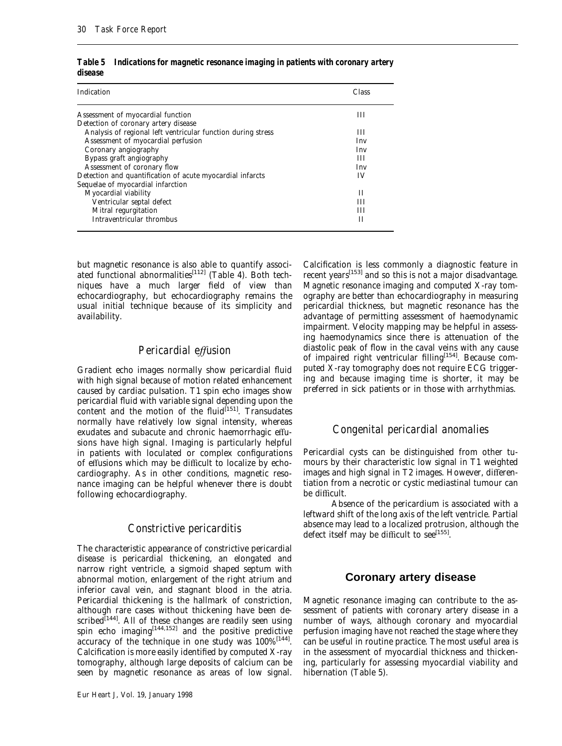| Indication                                                   | Class |
|--------------------------------------------------------------|-------|
| Assessment of myocardial function                            | Ш     |
| Detection of coronary artery disease                         |       |
| Analysis of regional left ventricular function during stress | Ш     |
| Assessment of myocardial perfusion                           | Inv   |
| Coronary angiography                                         | Inv   |
| Bypass graft angiography                                     | Ш     |
| Assessment of coronary flow                                  | Inv   |
| Detection and quantification of acute myocardial infarcts    | IV    |
| Sequelae of myocardial infarction                            |       |
| Myocardial viability                                         | Н     |
| Ventricular septal defect                                    | ш     |
| Mitral regurgitation                                         | ш     |
| Intraventricular thrombus                                    | Н     |

*Table 5 Indications for magnetic resonance imaging in patients with coronary artery disease*

but magnetic resonance is also able to quantify associated functional abnormalities<sup>[112]</sup> (Table 4). Both techniques have a much larger field of view than echocardiography, but echocardiography remains the usual initial technique because of its simplicity and availability.

#### *Pericardial effusion*

Gradient echo images normally show pericardial fluid with high signal because of motion related enhancement caused by cardiac pulsation. T1 spin echo images show pericardial fluid with variable signal depending upon the content and the motion of the fluid $[151]$ . Transudates normally have relatively low signal intensity, whereas exudates and subacute and chronic haemorrhagic effusions have high signal. Imaging is particularly helpful in patients with loculated or complex configurations of effusions which may be difficult to localize by echocardiography. As in other conditions, magnetic resonance imaging can be helpful whenever there is doubt following echocardiography.

#### *Constrictive pericarditis*

The characteristic appearance of constrictive pericardial disease is pericardial thickening, an elongated and narrow right ventricle, a sigmoid shaped septum with abnormal motion, enlargement of the right atrium and inferior caval vein, and stagnant blood in the atria. Pericardial thickening is the hallmark of constriction, although rare cases without thickening have been described<sup>[144]</sup>. All of these changes are readily seen using spin echo imaging $[144, 152]$  and the positive predictive accuracy of the technique in one study was 100%<sup>[144]</sup>. Calcification is more easily identified by computed X-ray tomography, although large deposits of calcium can be seen by magnetic resonance as areas of low signal.

Calcification is less commonly a diagnostic feature in recent years $^{[153]}$  and so this is not a major disadvantage. Magnetic resonance imaging and computed X-ray tomography are better than echocardiography in measuring pericardial thickness, but magnetic resonance has the advantage of permitting assessment of haemodynamic impairment. Velocity mapping may be helpful in assessing haemodynamics since there is attenuation of the diastolic peak of flow in the caval veins with any cause of impaired right ventricular filling[154]. Because computed X-ray tomography does not require ECG triggering and because imaging time is shorter, it may be preferred in sick patients or in those with arrhythmias.

#### *Congenital pericardial anomalies*

Pericardial cysts can be distinguished from other tumours by their characteristic low signal in T1 weighted images and high signal in T2 images. However, differentiation from a necrotic or cystic mediastinal tumour can be difficult.

Absence of the pericardium is associated with a leftward shift of the long axis of the left ventricle. Partial absence may lead to a localized protrusion, although the defect itself may be difficult to see<sup>[155]</sup>.

#### **Coronary artery disease**

Magnetic resonance imaging can contribute to the assessment of patients with coronary artery disease in a number of ways, although coronary and myocardial perfusion imaging have not reached the stage where they can be useful in routine practice. The most useful area is in the assessment of myocardial thickness and thickening, particularly for assessing myocardial viability and hibernation (Table 5).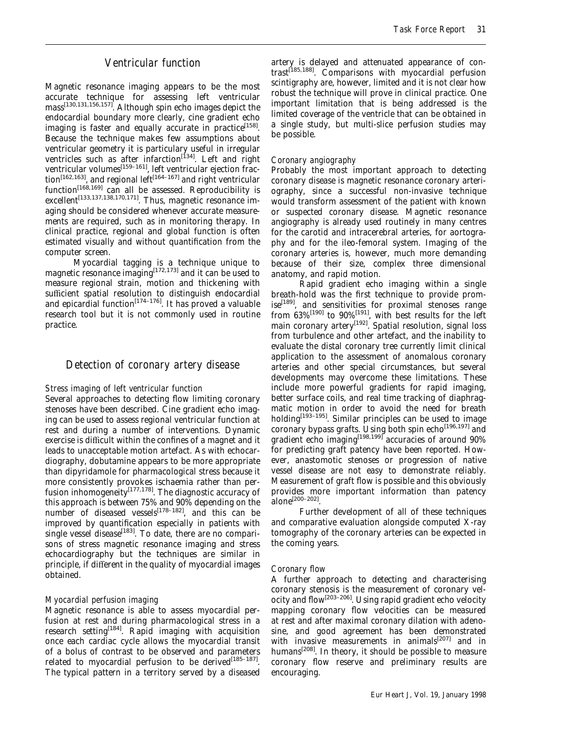## *Ventricular function*

Magnetic resonance imaging appears to be the most accurate technique for assessing left ventricular mass<sup>[130,131,156,157]</sup>. Although spin echo images depict the endocardial boundary more clearly, cine gradient echo imaging is faster and equally accurate in practice<sup>[158]</sup>. Because the technique makes few assumptions about ventricular geometry it is particulary useful in irregular ventricles such as after infarction<sup> $[134]$ </sup>. Left and right ventricular volumes<sup>[159–161]</sup>, left ventricular ejection fraction<sup>[162,163]</sup>, and regional left<sup>[164-167]</sup> and right ventricular function<sup>[168,169]</sup> can all be assessed. Reproducibility is excellent<sup>[133,137,138,170,171]</sup>. Thus, magnetic resonance imaging should be considered whenever accurate measurements are required, such as in monitoring therapy. In clinical practice, regional and global function is often estimated visually and without quantification from the computer screen.

Myocardial tagging is a technique unique to magnetic resonance imaging  $[172, 173]$  and it can be used to measure regional strain, motion and thickening with sufficient spatial resolution to distinguish endocardial and epicardial function<sup>[174–176]</sup>. It has proved a valuable research tool but it is not commonly used in routine practice.

## *Detection of coronary artery disease*

#### *Stress imaging of left ventricular function*

Several approaches to detecting flow limiting coronary stenoses have been described. Cine gradient echo imaging can be used to assess regional ventricular function at rest and during a number of interventions. Dynamic exercise is difficult within the confines of a magnet and it leads to unacceptable motion artefact. As with echocardiography, dobutamine appears to be more appropriate than dipyridamole for pharmacological stress because it more consistently provokes ischaemia rather than perfusion inhomogeneity $[177,178]$ . The diagnostic accuracy of this approach is between 75% and 90% depending on the number of diseased vessels<sup>[178–182]</sup>, and this can be improved by quantification especially in patients with single vessel disease<sup>[183]</sup>. To date, there are no comparisons of stress magnetic resonance imaging and stress echocardiography but the techniques are similar in principle, if different in the quality of myocardial images obtained.

#### *Myocardial perfusion imaging*

Magnetic resonance is able to assess myocardial perfusion at rest and during pharmacological stress in a research setting<sup>[184]</sup>. Rapid imaging with acquisition once each cardiac cycle allows the myocardial transit of a bolus of contrast to be observed and parameters related to myocardial perfusion to be derived<sup>[185-187]</sup>. The typical pattern in a territory served by a diseased

artery is delayed and attenuated appearance of contrast<sup>[185,188]</sup>. Comparisons with myocardial perfusion scintigraphy are, however, limited and it is not clear how robust the technique will prove in clinical practice. One important limitation that is being addressed is the limited coverage of the ventricle that can be obtained in a single study, but multi-slice perfusion studies may be possible.

#### *Coronary angiography*

Probably the most important approach to detecting coronary disease is magnetic resonance coronary arteriography, since a successful non-invasive technique would transform assessment of the patient with known or suspected coronary disease. Magnetic resonance angiography is already used routinely in many centres for the carotid and intracerebral arteries, for aortography and for the ileo-femoral system. Imaging of the coronary arteries is, however, much more demanding because of their size, complex three dimensional anatomy, and rapid motion.

Rapid gradient echo imaging within a single breath-hold was the first technique to provide promise<sup>[189]</sup>, and sensitivities for proximal stenoses range from  $63\%$ <sup>[190]</sup> to  $90\%$ <sup>[191]</sup>, with best results for the left main coronary artery<sup>[192]</sup>. Spatial resolution, signal loss from turbulence and other artefact, and the inability to evaluate the distal coronary tree currently limit clinical application to the assessment of anomalous coronary arteries and other special circumstances, but several developments may overcome these limitations. These include more powerful gradients for rapid imaging, better surface coils, and real time tracking of diaphragmatic motion in order to avoid the need for breath holding $[193-195]$ . Similar principles can be used to image coronary bypass grafts. Using both spin echo $^{[196,197]}$  and gradient echo imaging<sup>[198,199]</sup> accuracies of around  $90\%$ for predicting graft patency have been reported. However, anastomotic stenoses or progression of native vessel disease are not easy to demonstrate reliably. Measurement of graft flow is possible and this obviously provides more important information than patency alone[200–202].

Further development of all of these techniques and comparative evaluation alongside computed X-ray tomography of the coronary arteries can be expected in the coming years.

#### *Coronary flow*

A further approach to detecting and characterising coronary stenosis is the measurement of coronary velocity and flow<sup>[203-206]</sup>. Using rapid gradient echo velocity mapping coronary flow velocities can be measured at rest and after maximal coronary dilation with adenosine, and good agreement has been demonstrated with invasive measurements in animals<sup>[207]</sup> and in humans $^{[208]}$ . In theory, it should be possible to measure coronary flow reserve and preliminary results are encouraging.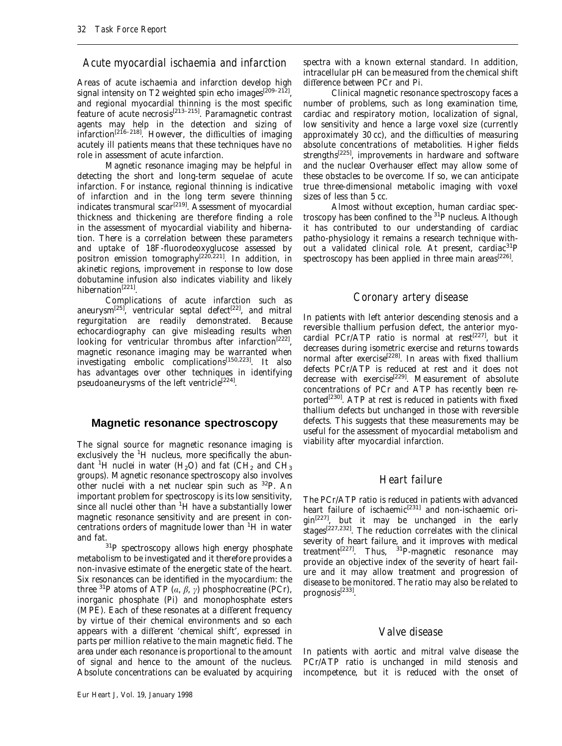## *Acute myocardial ischaemia and infarction*

Areas of acute ischaemia and infarction develop high signal intensity on T2 weighted spin echo images<sup>[209-212]</sup>, and regional myocardial thinning is the most specific feature of acute necrosis<sup>[213-215]</sup>. Paramagnetic contrast agents may help in the detection and sizing of infarction<sup>[216–218]</sup>. However, the difficulties of imaging acutely ill patients means that these techniques have no role in assessment of acute infarction.

Magnetic resonance imaging may be helpful in detecting the short and long-term sequelae of acute infarction. For instance, regional thinning is indicative of infarction and in the long term severe thinning indicates transmural scar $^{[219]}$ . Assessment of myocardial thickness and thickening are therefore finding a role in the assessment of myocardial viability and hibernation. There is a correlation between these parameters and uptake of 18F-fluorodeoxyglucose assessed by positron emission tomography<sup>[220,221]</sup>. In addition, in akinetic regions, improvement in response to low dose dobutamine infusion also indicates viability and likely hibernation<sup>[221]</sup>.

Complications of acute infarction such as aneurysm<sup>[25]</sup>, ventricular septal defect<sup>[22]</sup>, and mitral regurgitation are readily demonstrated. Because echocardiography can give misleading results when looking for ventricular thrombus after infarction<sup>[222]</sup>, magnetic resonance imaging may be warranted when investigating embolic complications<sup>[150,223]</sup>. It also has advantages over other techniques in identifying pseudoaneurysms of the left ventricle<sup>[224]</sup>.

## **Magnetic resonance spectroscopy**

The signal source for magnetic resonance imaging is exclusively the <sup>1</sup>H nucleus, more specifically the abundant <sup>1</sup>H nuclei in water (H<sub>2</sub>O) and fat (CH<sub>2</sub> and CH<sub>3</sub> groups). Magnetic resonance spectroscopy also involves other nuclei with a net nuclear spin such as 32P. An important problem for spectroscopy is its low sensitivity, since all nuclei other than <sup>1</sup>H have a substantially lower magnetic resonance sensitivity and are present in concentrations orders of magnitude lower than <sup>1</sup>H in water

and fat.  $31P$  spectroscopy allows high energy phosphate metabolism to be investigated and it therefore provides a non-invasive estimate of the energetic state of the heart. Six resonances can be identified in the myocardium: the three <sup>31</sup>P atoms of ATP  $(a, \beta, \gamma)$  phosphocreatine (PCr), inorganic phosphate (Pi) and monophosphate esters (MPE). Each of these resonates at a different frequency by virtue of their chemical environments and so each appears with a different 'chemical shift', expressed in parts per million relative to the main magnetic field. The area under each resonance is proportional to the amount of signal and hence to the amount of the nucleus. Absolute concentrations can be evaluated by acquiring spectra with a known external standard. In addition, intracellular pH can be measured from the chemical shift difference between PCr and Pi.

Clinical magnetic resonance spectroscopy faces a number of problems, such as long examination time, cardiac and respiratory motion, localization of signal, low sensitivity and hence a large voxel size (currently approximately 30 cc), and the difficulties of measuring absolute concentrations of metabolities. Higher fields strengths<sup>[225]</sup>, improvements in hardware and software and the nuclear Overhauser effect may allow some of these obstacles to be overcome. If so, we can anticipate true three-dimensional metabolic imaging with voxel sizes of less than 5 cc.

Almost without exception, human cardiac spectroscopy has been confined to the 31P nucleus. Although it has contributed to our understanding of cardiac patho-physiology it remains a research technique without a validated clinical role. At present, cardiac<sup>31</sup>P spectroscopy has been applied in three main areas $^{[226]}$ .

## *Coronary artery disease*

In patients with left anterior descending stenosis and a reversible thallium perfusion defect, the anterior myocardial PCr/ATP ratio is normal at rest<sup>[227]</sup>, but it decreases during isometric exercise and returns towards normal after exercise<sup>[228]</sup>. In areas with fixed thallium defects PCr/ATP is reduced at rest and it does not decrease with exercise<sup>[229]</sup>. Measurement of absolute concentrations of PCr and ATP has recently been reported<sup>[230]</sup>. ATP at rest is reduced in patients with fixed thallium defects but unchanged in those with reversible defects. This suggests that these measurements may be useful for the assessment of myocardial metabolism and viability after myocardial infarction.

## *Heart failure*

The PCr/ATP ratio is reduced in patients with advanced heart failure of ischaemic<sup>[231]</sup> and non-ischaemic origin[227], but it may be unchanged in the early stages<sup>[227,232]</sup>. The reduction correlates with the clinical severity of heart failure, and it improves with medical treatment<sup>[227]</sup>. Thus, <sup>31</sup>P-magnetic resonance may provide an objective index of the severity of heart failure and it may allow treatment and progression of disease to be monitored. The ratio may also be related to  $prognosis^{[233]}.$ 

#### *Valve disease*

In patients with aortic and mitral valve disease the PCr/ATP ratio is unchanged in mild stenosis and incompetence, but it is reduced with the onset of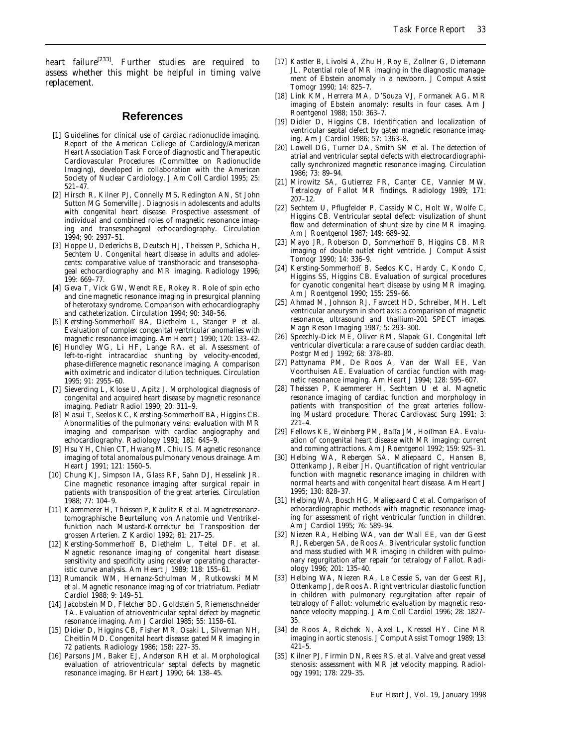heart failure<sup>[233]</sup>. Further studies are required to assess whether this might be helpful in timing valve replacement.

#### **References**

- [1] Guidelines for clinical use of cardiac radionuclide imaging. Report of the American College of Cardiology/American Heart Association Task Force of diagnostic and Therapeutic Cardiovascular Procedures (Committee on Radionuclide Imaging), developed in collaboration with the American Society of Nuclear Cardiology. J Am Coll Cardiol 1995; 25: 521–47.
- [2] Hirsch R, Kilner PJ, Connelly MS, Redington AN, St John Sutton MG Somerville J. Diagnosis in adolescents and adults with congenital heart disease. Prospective assessment of individual and combined roles of magnetic resonance imaging and transesophageal echocardiography. Circulation 1994; 90: 2937–51.
- [3] Hoppe U, Dederichs B, Deutsch HJ, Theissen P, Schicha H, Sechtem U. Congenital heart disease in adults and adolescents: comparative value of transthoracic and transesophageal echocardiography and MR imaging. Radiology 1996; 199: 669–77.
- [4] Geva T, Vick GW, Wendt RE, Rokey R. Role of spin echo and cine magnetic resonance imaging in presurgical planning of heterotaxy syndrome. Comparison with echocardiography and catheterization. Circulation 1994; 90: 348–56.
- [5] Kersting-Sommerhoff BA, Diethelm L, Stanger P *et al*. Evaluation of complex congenital ventricular anomalies with magnetic resonance imaging. Am Heart J 1990; 120: 133–42.
- [6] Hundley WG, Li HF, Lange RA. *et al*. Assessment of left-to-right intracardiac shunting by velocity-encoded, phase-difference magnetic resonance imaging. A comparison with oximetric and indicator dilution techniques. Circulation 1995; 91: 2955–60.
- [7] Sieverding L, Klose U, Apitz J. Morphological diagnosis of congenital and acquired heart disease by magnetic resonance imaging. Pediatr Radiol 1990; 20: 311–9.
- [8] Masui T, Seelos KC, Kersting-Sommerhoff BA, Higgins CB. Abnormalities of the pulmonary veins: evaluation with MR imaging and comparison with cardiac angiography and echocardiography. Radiology 1991; 181: 645–9.
- [9] Hsu YH, Chien CT, Hwang M, Chiu IS. Magnetic resonance imaging of total anomalous pulmonary venous drainage. Am Heart J 1991; 121: 1560–5.
- [10] Chung KJ, Simpson IA, Glass RF, Sahn DJ, Hesselink JR. Cine magnetic resonance imaging after surgical repair in patients with transposition of the great arteries. Circulation 1988; 77: 104–9.
- [11] Kaemmerer H, Theissen P, Kaulitz R *et al*. Magnetresonanztomographische Beurteilung von Anatomie und Ventrikelfunktion nach Mustard-Korrektur bei Transposition der grossen Arterien. Z Kardiol 1992; 81: 217–25.
- [12] Kersting-Sommerhoff B, Diethelm L, Teitel DF. *et al*. Magnetic resonance imaging of congenital heart disease: sensitivity and specificity using receiver operating characteristic curve analysis. Am Heart J 1989; 118: 155–61.
- [13] Rumancik WM, Hernanz-Schulman M, Rutkowski MM *et al*. Magnetic resonance imaging of cor triatriatum. Pediatr Cardiol 1988; 9: 149–51.
- [14] Jacobstein MD, Fletcher BD, Goldstein S, Riemenschneider TA. Evaluation of atrioventricular septal defect by magnetic resonance imaging. Am J Cardiol 1985; 55: 1158–61.
- [15] Didier D, Higgins CB, Fisher MR, Osaki L, Silverman NH, Cheitlin MD. Congenital heart disease: gated MR imaging in 72 patients. Radiology 1986; 158: 227–35.
- [16] Parsons JM, Baker EJ, Anderson RH *et al*. Morphological evaluation of atrioventricular septal defects by magnetic resonance imaging. Br Heart J 1990; 64: 138–45.
- [17] Kastler B, Livolsi A, Zhu H, Roy E, Zollner G, Dietemann JL. Potential role of MR imaging in the diagnostic management of Ebstein anomaly in a newborn. J Comput Assist Tomogr 1990; 14: 825–7.
- [18] Link KM, Herrera MA, D'Souza VJ, Formanek AG. MR imaging of Ebstein anomaly: results in four cases. Am J Roentgenol 1988; 150: 363–7.
- [19] Didier D, Higgins CB. Identification and localization of ventricular septal defect by gated magnetic resonance imaging. Am J Cardiol 1986; 57: 1363–8.
- [20] Lowell DG, Turner DA, Smith SM *et al*. The detection of atrial and ventricular septal defects with electrocardiographically synchronized magnetic resonance imaging. Circulation 1986; 73: 89–94.
- [21] Mirowitz SA, Gutierrez FR, Canter CE, Vannier MW. Tetralogy of Fallot MR findings. Radiology 1989; 171: 207–12.
- [22] Sechtem U, Pflugfelder P, Cassidy MC, Holt W, Wolfe C, Higgins CB. Ventricular septal defect: visulization of shunt flow and determination of shunt size by cine MR imaging. Am J Roentgenol 1987; 149: 689–92.
- [23] Mayo JR, Roberson D, Sommerhoff B, Higgins CB. MR imaging of double outlet right ventricle. J Comput Assist Tomogr 1990; 14: 336–9.
- [24] Kersting-Sommerhoff B, Seelos KC, Hardy C, Kondo C, Higgins SS, Higgins CB. Evaluation of surgical procedures for cyanotic congenital heart disease by using MR imaging. Am J Roentgenol 1990; 155: 259–66.
- [25] Ahmad M, Johnson RJ, Fawcett HD, Schreiber, MH. Left ventricular aneurysm in short axis: a comparison of magnetic resonance, ultrasound and thallium-201 SPECT images. Magn Reson Imaging 1987; 5: 293–300.
- [26] Speechly-Dick ME, Oliver RM, Slapak GI. Congenital left ventricular diverticula: a rare cause of sudden cardiac death. Postgr Med J 1992; 68: 378–80.
- [27] Pattynama PM, De Roos A, Van der Wall EE, Van Voorthuisen AE. Evaluation of cardiac function with magnetic resonance imaging. Am Heart J 1994; 128: 595–607.
- [28] Theissen P, Kaemmerer H, Sechtem U *et al*. Magnetic resonance imaging of cardiac function and morphology in patients with transposition of the great arteries following Mustard procedure. Thorac Cardiovasc Surg 1991; 3:  $221 - 4$ .
- [29] Fellows KE, Weinberg PM, Baffa JM, Hoffman EA. Evaluation of congenital heart disease with MR imaging: current and coming attractions. Am J Roentgenol 1992; 159: 925–31.
- [30] Helbing WA, Rebergen SA, Maliepaard C, Hansen B, Ottenkamp J, Reiber JH. Quantification of right ventricular function with magnetic resonance imaging in children with normal hearts and with congenital heart disease. Am Heart J 1995; 130: 828–37.
- [31] Helbing WA, Bosch HG, Maliepaard C *et al*. Comparison of echocardiographic methods with magnetic resonance imaging for assessment of right ventricular function in children. Am J Cardiol 1995; 76: 589–94.
- [32] Niezen RA, Helbing WA, van der Wall EE, van der Geest RJ, Rebergen SA, de Roos A. Biventricular systolic function and mass studied with MR imaging in children with pulmonary regurgitation after repair for tetralogy of Fallot. Radiology 1996; 201: 135–40.
- [33] Helbing WA, Niezen RA, Le Cessie S, van der Geest RJ, Ottenkamp J, de Roos A. Right ventricular diastolic function in children with pulmonary regurgitation after repair of tetralogy of Fallot: volumetric evaluation by magnetic resonance velocity mapping. J Am Coll Cardiol 1996; 28: 1827– 35.
- [34] de Roos A, Reichek N, Axel L, Kressel HY. Cine MR imaging in aortic stenosis. J Comput Assist Tomogr 1989; 13: 421–5.
- [35] Kilner PJ, Firmin DN, Rees RS. *et al*. Valve and great vessel stenosis: assessment with MR jet velocity mapping. Radiology 1991; 178: 229–35.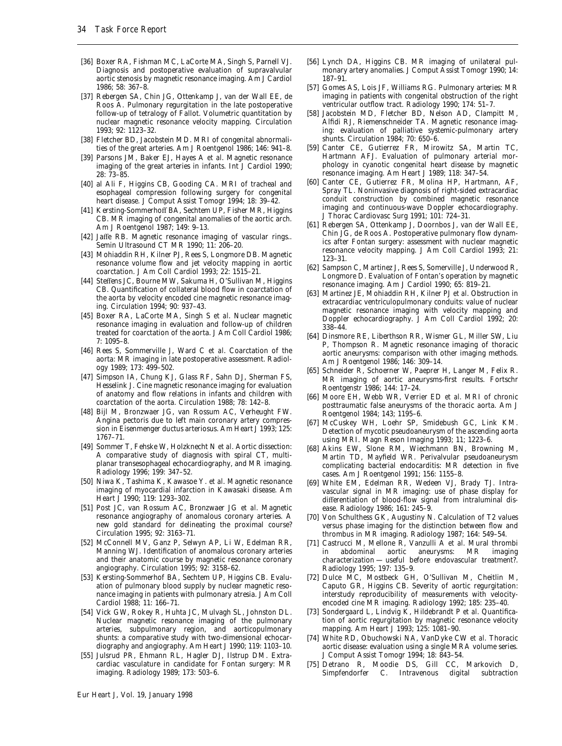- [36] Boxer RA, Fishman MC, LaCorte MA, Singh S, Parnell VJ. Diagnosis and postoperative evaluation of supravalvular aortic stenosis by magnetic resonance imaging. Am J Cardiol 1986; 58: 367–8.
- [37] Rebergen SA, Chin JG, Ottenkamp J, van der Wall EE, de Roos A. Pulmonary regurgitation in the late postoperative follow-up of tetralogy of Fallot. Volumetric quantitation by nuclear magnetic resonance velocity mapping. Circulation 1993; 92: 1123–32.
- [38] Fletcher BD, Jacobstein MD, MRI of congenital abnormalities of the great arteries. Am J Roentgenol 1986; 146: 941–8.
- [39] Parsons JM, Baker EJ, Hayes A *et al*. Magnetic resonance imaging of the great arteries in infants. Int J Cardiol 1990; 28: 73–85.
- [40] al Ali F, Higgins CB, Gooding CA. MRI of tracheal and esophageal compression following surgery for congenital heart disease. J Comput Assist Tomogr 1994; 18: 39-42.
- [41] Kersting-Sommerhoff BA, Sechtem UP, Fisher MR, Higgins CB. MR imaging of congenital anomalies of the aortic arch. Am J Roentgenol 1987; 149: 9–13.
- [42] Jaffe RB. Magnetic resonance imaging of vascular rings.. Semin Ultrasound CT MR 1990; 11: 206–20.
- [43] Mohiaddin RH, Kilner PJ, Rees S, Longmore DB. Magnetic resonance volume flow and jet velocity mapping in aortic coarctation. J Am Coll Cardiol 1993; 22: 1515–21.
- [44] Steffens JC, Bourne MW, Sakuma H, O'Sullivan M, Higgins CB. Quantification of collateral blood flow in coarctation of the aorta by velocity encoded cine magnetic resonance imaging. Circulation 1994; 90: 937–43.
- [45] Boxer RA, LaCorte MA, Singh S *et al*. Nuclear magnetic resonance imaging in evaluation and follow-up of children treated for coarctation of the aorta. J Am Coll Cardiol 1986; 7: 1095–8.
- [46] Rees S, Sommerville J, Ward C *et al*. Coarctation of the aorta: MR imaging in late postoperative assessment. Radiology 1989; 173: 499–502.
- [47] Simpson IA, Chung KJ, Glass RF, Sahn DJ, Sherman FS, Hesselink J. Cine magnetic resonance imaging for evaluation of anatomy and flow relations in infants and children with coarctation of the aorta. Circulation 1988; 78: 142–8.
- [48] Bijl M, Bronzwaer JG, van Rossum AC, Verheught FW. Angina pectoris due to left main coronary artery compression in Eisenmenger ductus arteriosus. Am Heart J 1993; 125: 1767–71.
- [49] Sommer T, Fehske W, Holzknecht N *et al*. Aortic dissection: A comparative study of diagnosis with spiral CT, multiplanar transesophageal echocardiography, and MR imaging. Radiology 1996; 199: 347–52.
- [50] Niwa K, Tashima K, Kawasoe Y. *et al*. Magnetic resonance imaging of myocardial infarction in Kawasaki disease. Am Heart J 1990; 119: 1293–302.
- [51] Post JC, van Rossum AC, Bronzwaer JG *et al*. Magnetic resonance angiography of anomalous coronary arteries. A new gold standard for delineating the proximal course? Circulation 1995; 92: 3163–71.
- [52] McConnell MV, Ganz P, Selwyn AP, Li W, Edelman RR, Manning WJ. Identification of anomalous coronary arteries and their anatomic course by magnetic resonance coronary angiography. Circulation 1995; 92: 3158–62.
- [53] Kersting-Sommerhof BA, Sechtem UP, Higgins CB. Evaluation of pulmonary blood supply by nuclear magnetic resonance imaging in patients with pulmonary atresia. J Am Coll Cardiol 1988; 11: 166–71.
- [54] Vick GW, Rokey R, Huhta JC, Mulvagh SL, Johnston DL. Nuclear magnetic resonance imaging of the pulmonary arteries, subpulmonary region, and aorticopulmonary shunts: a comparative study with two-dimensional echocardiography and angiography. Am Heart J 1990; 119: 1103–10.
- [55] Julsrud PR, Ehmann RL, Hagler DJ, Ilstrup DM. Extracardiac vasculature in candidate for Fontan surgery: MR imaging. Radiology 1989; 173: 503–6.
- [56] Lynch DA, Higgins CB. MR imaging of unilateral pulmonary artery anomalies. J Comput Assist Tomogr 1990; 14: 187–91.
- [57] Gomes AS, Lois JF, Williams RG. Pulmonary arteries: MR imaging in patients with congenital obstruction of the right ventricular outflow tract. Radiology 1990; 174: 51–7.
- [58] Jacobstein MD, Fletcher BD, Nelson AD, Clampitt M, Alfidi RJ, Riemenschneider TA. Magnetic resonance imaging: evaluation of palliative systemic-pulmonary artery shunts. Circulation 1984; 70: 650–6.
- [59] Canter CE, Gutierrez FR, Mirowitz SA, Martin TC, Hartmann AFJ. Evaluation of pulmonary arterial morphology in cyanotic congenital heart disease by magnetic resonance imaging. Am Heart J 1989; 118: 347–54.
- [60] Canter CE, Gutierrez FR, Molina HP, Hartmann, AF, Spray TL. Noninvasive diagnosis of right-sided extracardiac conduit construction by combined magnetic resonance imaging and continuous-wave Doppler echocardiography. J Thorac Cardiovasc Surg 1991; 101: 724–31.
- [61] Rebergen SA, Ottenkamp J, Doornbos J, van der Wall EE, Chin JG, de Roos A. Postoperative pulmonary flow dynamics after Fontan surgery: assessment with nuclear magnetic resonance velocity mapping. J Am Coll Cardiol 1993; 21: 123–31.
- [62] Sampson C, Martinez J, Rees S, Somerville J, Underwood R, Longmore D. Evaluation of Fontan's operation by magnetic resonance imaging. Am J Cardiol 1990; 65: 819–21.
- [63] Martinez JE, Mohiaddin RH, Kilner PJ *et al*. Obstruction in extracardiac ventriculopulmonary conduits: value of nuclear magnetic resonance imaging with velocity mapping and Doppler echocardiography. J Am Coll Cardiol 1992; 20: 338–44.
- [64] Dinsmore RE, Liberthson RR, Wismer GL, Miller SW, Liu P, Thompson R. Magnetic resonance imaging of thoracic aortic aneurysms: comparison with other imaging methods. Am J Roentgenol 1986; 146: 309–14.
- [65] Schneider R, Schoerner W, Paeprer H, Langer M, Felix R. MR imaging of aortic aneurysms-first results. Fortschr Roentgenstr 1986; 144: 17–24.
- [66] Moore EH, Webb WR, Verrier ED *et al*. MRI of chronic posttraumatic false aneurysms of the thoracic aorta. Am J Roentgenol 1984; 143; 1195–6.
- [67] McCuskey WH, Loehr SP, Smidebush GC, Link KM. Detection of mycotic pseudoaneurysm of the ascending aorta using MRI. Magn Reson Imaging 1993; 11; 1223–6.
- [68] Akins EW, Slone RM, Wiechmann BN, Browning M, Martin TD, Mayfield WR. Perivalvular pseudoaneurysm complicating bacterial endocarditis: MR detection in five cases. Am J Roentgenol 1991; 156: 1155–8.
- [69] White EM, Edelman RR, Wedeen VJ, Brady TJ. Intravascular signal in MR imaging: use of phase display for differentiation of blood-flow signal from intraluminal disease. Radiology 1986; 161: 245–9.
- [70] Von Schulthess GK, Augustiny N. Calculation of T2 values versus phase imaging for the distinction between flow and thrombus in MR imaging. Radiology 1987; 164: 549–54.
- [71] Castrucci M, Mellone R, Vanzulli A *et al*. Mural thrombi in abdominal aortic aneurysms: MR characterization — useful before endovascular treatment?. Radiology 1995; 197: 135–9.
- [72] Dulce MC, Mostbeck GH, O'Sullivan M, Cheitlin M, Caputo GR, Higgins CB. Severity of aortic regurgitation: interstudy reproducibility of measurements with velocityencoded cine MR imaging. Radiology 1992; 185: 235–40.
- [73] Sondergaard L, Lindvig K, Hildebrandt P *et al*. Quantification of aortic regurgitation by magnetic resonance velocity mapping. Am Heart J 1993; 125: 1081–90.
- [74] White RD, Obuchowski NA, VanDyke CW *et al*. Thoracic aortic disease: evaluation using a single MRA volume series. J Comput Assist Tomogr 1994; 18: 843–54.
- [75] Detrano R, Moodie DS, Gill CC, Markovich D, Simpfendorfer C. Intravenous digital subtraction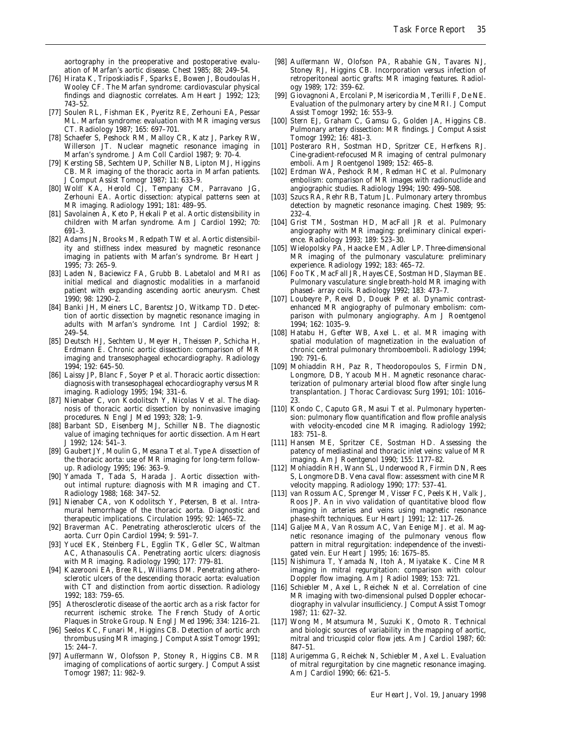aortography in the preoperative and postoperative evaluation of Marfan's aortic disease. Chest 1985; 88; 249–54.

- [76] Hirata K, Triposkiadis F, Sparks E, Bowen J, Boudoulas H, Wooley CF. The Marfan syndrome: cardiovascular physical findings and diagnostic correlates. Am Heart J 1992; 123; 743–52.
- [77] Soulen RL, Fishman EK, Pyeritz RE, Zerhouni EA, Pessar ML. Marfan syndrome: evaluation with MR imaging versus CT. Radiology 1987; 165: 697–701.
- [78] Schaefer S, Peshock RM, Malloy CR, Katz J, Parkey RW, Willerson JT. Nuclear magnetic resonance imaging in Marfan's syndrome. J Am Coll Cardiol 1987; 9: 70–4.
- [79] Kersting SB, Sechtem UP, Schiller NB, Lipton MJ, Higgins CB. MR imaging of the thoracic aorta in Marfan patients. J Comput Assist Tomogr 1987; 11: 633–9.
- [80] Wolff KA, Herold CJ, Tempany CM, Parravano JG, Zerhouni EA. Aortic dissection: atypical patterns seen at MR imaging. Radiology 1991; 181: 489–95.
- [81] Savolainen A, Keto P, Hekali P *et al*. Aortic distensibility in children with Marfan syndrome. Am J Cardiol 1992; 70: 691–3.
- [82] Adams JN, Brooks M, Redpath TW *et al*. Aortic distensibility and stiffness index measured by magnetic resonance imaging in patients with Marfan's syndrome. Br Heart J 1995; 73: 265–9.
- [83] Laden N, Baciewicz FA, Grubb B. Labetalol and MRI as initial medical and diagnostic modalities in a marfanoid patient with expanding ascending aortic aneurysm. Chest 1990; 98: 1290–2.
- [84] Banki JH, Meiners LC, Barentsz JO, Witkamp TD. Detection of aortic dissection by magnetic resonance imaging in adults with Marfan's syndrome. Int J Cardiol 1992; 8: 249–54.
- [85] Deutsch HJ, Sechtem U, Meyer H, Theissen P, Schicha H, Erdmann E. Chronic aortic dissection: comparison of MR imaging and transesophageal echocardiography. Radiology 1994; 192: 645–50.
- [86] Laissy JP, Blanc F, Soyer P *et al*. Thoracic aortic dissection: diagnosis with transesophageal echocardiography versus MR imaging. Radiology 1995; 194; 331–6.
- [87] Nienaber C, von Kodolitsch Y, Nicolas V *et al*. The diagnosis of thoracic aortic dissection by noninvasive imaging procedures. N Engl J Med 1993; 328; 1–9.
- [88] Barbant SD, Eisenberg MJ, Schiller NB. The diagnostic value of imaging techniques for aortic dissection. Am Heart J 1992; 124: 541–3.
- [89] Gaubert JY, Moulin G, Mesana T *et al*. Type A dissection of the thoracic aorta: use of MR imaging for long-term followup. Radiology 1995; 196: 363–9.
- [90] Yamada T, Tada S, Harada J. Aortic dissection without intimal rupture: diagnosis with MR imaging and CT. Radiology 1988; 168: 347–52.
- [91] Nienaber CA, von Kodolitsch Y, Petersen, B *et al*. Intramural hemorrhage of the thoracic aorta. Diagnostic and therapeutic implications. Circulation 1995; 92: 1465–72.
- [92] Braverman AC. Penetrating atherosclerotic ulcers of the aorta. Curr Opin Cardiol 1994; 9: 591–7.
- [93] Yucel EK, Steinberg FL, Egglin TK, Geller SC, Waltman AC, Athanasoulis CA. Penetrating aortic ulcers: diagnosis with MR imaging. Radiology 1990; 177: 779–81.
- [94] Kazerooni EA, Bree RL, Williams DM. Penetrating atherosclerotic ulcers of the descending thoracic aorta: evaluation with CT and distinction from aortic dissection. Radiology 1992; 183: 759–65.
- [95] Atherosclerotic disease of the aortic arch as a risk factor for recurrent ischemic stroke. The French Study of Aortic Plaques in Stroke Group. N Engl J Med 1996; 334: 1216–21.
- [96] Seelos KC, Funari M, Higgins CB. Detection of aortic arch thrombus using MR imaging. J Comput Assist Tomogr 1991; 15: 244–7.
- [97] Auffermann W, Olofsson P, Stoney R, Higgins CB. MR imaging of complications of aortic surgery. J Comput Assist Tomogr 1987; 11: 982–9.
- [98] Auffermann W, Olofson PA, Rabahie GN, Tavares NJ, Stoney RJ, Higgins CB. Incorporation versus infection of retroperitoneal aortic grafts: MR imaging features. Radiology 1989; 172: 359–62.
- [99] Giovagnoni A, Ercolani P, Misericordia M, Terilli F, De NE. Evaluation of the pulmonary artery by cine MRI. J Comput Assist Tomogr 1992; 16: 553–9.
- [100] Stern EJ, Graham C, Gamsu G, Golden JA, Higgins CB. Pulmonary artery dissection: MR findings. J Comput Assist Tomogr 1992; 16: 481–3.
- [101] Posteraro RH, Sostman HD, Spritzer CE, Herfkens RJ. Cine-gradient-refocused MR imaging of central pulmonary emboli. Am J Roentgenol 1989; 152: 465–8.
- [102] Erdman WA, Peshock RM, Redman HC *et al*. Pulmonary embolism: comparison of MR images with radionuclide and angiographic studies. Radiology 1994; 190: 499–508.
- [103] Szucs RA, Rehr RB, Tatum JL. Pulmonary artery thrombus detection by magnetic resonance imaging. Chest 1989; 95: 232–4.
- [104] Grist TM, Sostman HD, MacFall JR *et al*. Pulmonary angiography with MR imaging: preliminary clinical experience. Radiology 1993; 189: 523–30.
- [105] Wielopolsky PA, Haacke EM, Adler LP. Three-dimensional MR imaging of the pulmonary vasculature: preliminary experience. Radiology 1992; 183: 465–72.
- [106] Foo TK, MacFall JR, Hayes CE, Sostman HD, Slayman BE. Pulmonary vasculature: single breath-hold MR imaging with phased- array coils. Radiology 1992; 183: 473–7.
- [107] Loubeyre P, Revel D, Douek P *et al*. Dynamic contrastenhanced MR angiography of pulmonary embolism: comparison with pulmonary angiography. Am J Roentgenol 1994; 162: 1035–9.
- [108] Hatabu H, Gefter WB, Axel L. *et al*. MR imaging with spatial modulation of magnetization in the evaluation of chronic central pulmonary thromboemboli. Radiology 1994; 190: 791–6.
- [109] Mohiaddin RH, Paz R, Theodoropoulos S, Firmin DN, Longmore, DB, Yacoub MH. Magnetic resonance characterization of pulmonary arterial blood flow after single lung transplantation. J Thorac Cardiovasc Surg 1991; 101: 1016– 23.
- [110] Kondo C, Caputo GR, Masui T *et al*. Pulmonary hypertension: pulmonary flow quantification and flow profile analysis with velocity-encoded cine MR imaging. Radiology 1992; 183: 751–8.
- [111] Hansen ME, Spritzer CE, Sostman HD. Assessing the patency of mediastinal and thoracic inlet veins: value of MR imaging. Am J Roentgenol 1990; 155: 1177–82.
- [112] Mohiaddin RH, Wann SL, Underwood R, Firmin DN, Rees S, Longmore DB. Vena caval flow: assessment with cine MR velocity mapping. Radiology 1990; 177: 537–41.
- [113] van Rossum AC, Sprenger M, Visser FC, Peels KH, Valk J, Roos JP. An in vivo validation of quantitative blood flow imaging in arteries and veins using magnetic resonance phase-shift techniques. Eur Heart J 1991; 12: 117–26.
- [114] Galjee MA, Van Rossum AC, Van Eenige MJ. *et al*. Magnetic resonance imaging of the pulmonary venous flow pattern in mitral regurgitation: independence of the investigated vein. Eur Heart J 1995; 16: 1675–85.
- [115] Nishimura T, Yamada N, Itoh A, Miyatake K. Cine MR imaging in mitral regurgitation: comparison with colour Doppler flow imaging. Am J Radiol 1989; 153: 721.
- [116] Schiebler M, Axel L, Reichek N *et al*. Correlation of cine MR imaging with two-dimensional pulsed Doppler echocardiography in valvular insufficiency. J Comput Assist Tomogr 1987; 11: 627–32.
- [117] Wong M, Matsumura M, Suzuki K, Omoto R. Technical and biologic sources of variability in the mapping of aortic, mitral and tricuspid color flow jets. Am J Cardiol 1987; 60: 847–51.
- [118] Aurigemma G. Reichek N. Schiebler M. Axel L. Evaluation of mitral regurgitation by cine magnetic resonance imaging. Am J Cardiol 1990; 66: 621–5.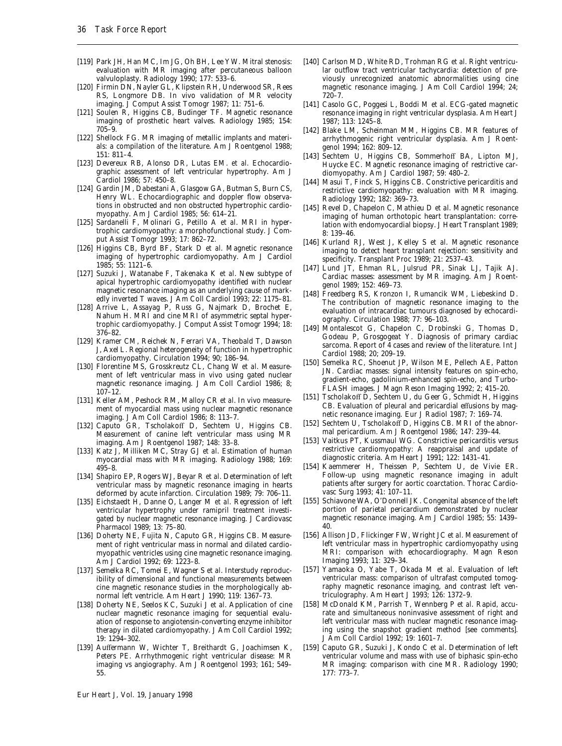- [119] Park JH, Han MC, Im JG, Oh BH, Lee YW. Mitral stenosis: evaluation with MR imaging after percutaneous balloon valvuloplasty. Radiology 1990; 177: 533–6.
- [120] Firmin DN, Nayler GL, Klipstein RH, Underwood SR, Rees RS, Longmore DB. In vivo validation of MR velocity imaging. J Comput Assist Tomogr 1987; 11: 751–6.
- [121] Soulen R, Higgins CB, Budinger TF. Magnetic resonance imaging of prosthetic heart valves. Radiology 1985; 154: 705–9.
- [122] Shellock FG. MR imaging of metallic implants and materials: a compilation of the literature. Am J Roentgenol 1988; 151: 811–4.
- [123] Devereux RB, Alonso DR, Lutas EM. *et al*. Echocardiographic assessment of left ventricular hypertrophy. Am J Cardiol 1986; 57: 450–8.
- [124] Gardin JM, Dabestani A, Glasgow GA, Butman S, Burn CS, Henry WL. Echocardiographic and doppler flow observations in obstructed and non obstructed hypertrophic cardiomyopathy. Am J Cardiol 1985; 56: 614–21.
- [125] Sardanelli F, Molinari G, Petillo A *et al*. MRI in hypertrophic cardiomyopathy: a morphofunctional study. J Comput Assist Tomogr 1993; 17: 862–72.
- [126] Higgins CB, Byrd BF, Stark D *et al*. Magnetic resonance imaging of hypertrophic cardiomyopathy. Am J Cardiol 1985; 55: 1121–6.
- [127] Suzuki J, Watanabe F, Takenaka K *et al*. New subtype of apical hypertrophic cardiomyopathy identified with nuclear magnetic resonance imaging as an underlying cause of markedly inverted T waves. J Am Coll Cardiol 1993; 22: 1175–81.
- [128] Arrive L, Assayag P, Russ G, Najmark D, Brochet E, Nahum H. MRI and cine MRI of asymmetric septal hypertrophic cardiomyopathy. J Comput Assist Tomogr 1994; 18: 376–82.
- [129] Kramer CM, Reichek N, Ferrari VA, Theobald T, Dawson J, Axel L. Regional heterogeneity of function in hypertrophic cardiomyopathy. Circulation 1994; 90; 186–94.
- [130] Florentine MS, Grosskreutz CL, Chang W *et al*. Measurement of left ventricular mass in vivo using gated nuclear magnetic resonance imaging. J Am Coll Cardiol 1986; 8; 107–12.
- [131] Keller AM, Peshock RM, Malloy CR *et al*. In vivo measurement of myocardial mass using nuclear magnetic resonance imaging. J Am Coll Cardiol 1986; 8: 113–7.
- [132] Caputo GR, Tscholakoff D, Sechtem U, Higgins CB. Measurement of canine left ventricular mass using MR imaging. Am J Roentgenol 1987; 148: 33–8.
- [133] Katz J, Milliken MC, Stray GJ *et al*. Estimation of human myocardial mass with MR imaging. Radiology 1988; 169: 495–8.
- [134] Shapiro EP, Rogers WJ, Beyar R *et al*. Determination of left ventricular mass by magnetic resonance imaging in hearts deformed by acute infarction. Circulation 1989; 79: 706–11.
- [135] Eichstaedt H, Danne O, Langer M *et al*. Regression of left ventricular hypertrophy under ramipril treatment investigated by nuclear magnetic resonance imaging. J Cardiovasc Pharmacol 1989; 13: 75–80.
- [136] Doherty NE, Fujita N, Caputo GR, Higgins CB. Measurement of right ventricular mass in normal and dilated cardiomyopathic ventricles using cine magnetic resonance imaging. Am J Cardiol 1992; 69: 1223–8.
- [137] Semelka RC, Tomei E, Wagner S *et al*. Interstudy reproducibility of dimensional and functional measurements between cine magnetic resonance studies in the morphologically abnormal left ventricle. Am Heart J 1990; 119: 1367–73.
- [138] Doherty NE, Seelos KC, Suzuki J *et al*. Application of cine nuclear magnetic resonance imaging for sequential evaluation of response to angiotensin-converting enzyme inhibitor therapy in dilated cardiomyopathy. J Am Coll Cardiol 1992; 19: 1294–302.
- [139] Auffermann W, Wichter T, Breithardt G, Joachimsen K, Peters PE. Arrhythmogenic right ventricular disease: MR imaging vs angiography. Am J Roentgenol 1993; 161; 549– 55.
- [140] Carlson MD, White RD, Trohman RG *et al*. Right ventricular outflow tract ventricular tachycardia: detection of previously unrecognized anatomic abnormalities using cine magnetic resonance imaging. J Am Coll Cardiol 1994; 24; 720–7.
- [141] Casolo GC, Poggesi L, Boddi M *et al*. ECG-gated magnetic resonance imaging in right ventricular dysplasia. Am Heart J 1987; 113: 1245–8.
- [142] Blake LM, Scheinman MM, Higgins CB. MR features of arrhythmogenic right ventricular dysplasia. Am J Roentgenol 1994; 162: 809–12.
- [143] Sechtem U, Higgins CB, Sommerhoff BA, Lipton MJ, Huycke EC. Magnetic resonance imaging of restrictive cardiomyopathy. Am J Cardiol 1987; 59: 480–2.
- [144] Masui T, Finck S, Higgins CB. Constrictive pericarditis and restrictive cardiomyopathy: evaluation with MR imaging. Radiology 1992; 182: 369–73.
- [145] Revel D, Chapelon C, Mathieu D *et al*. Magnetic resonance imaging of human orthotopic heart transplantation: correlation with endomyocardial biopsy. J Heart Transplant 1989; 8: 139–46.
- [146] Kurland RJ, West J, Kelley S *et al*. Magnetic resonance imaging to detect heart transplant rejection: sensitivity and specificity. Transplant Proc 1989; 21: 2537–43.
- [147] Lund JT, Ehman RL, Julsrud PR, Sinak LJ, Tajik AJ. Cardiac masses: assessment by MR imaging. Am J Roentgenol 1989; 152: 469–73.
- [148] Freedberg RS, Kronzon I, Rumancik WM, Liebeskind D. The contribution of magnetic resonance imaging to the evaluation of intracardiac tumours diagnosed by echocardiography. Circulation 1988; 77: 96–103.
- [149] Montalescot G, Chapelon C, Drobinski G, Thomas D, Godeau P, Grosgogeat Y. Diagnosis of primary cardiac sarcoma. Report of 4 cases and review of the literature. Int J Cardiol 1988; 20; 209–19.
- [150] Semelka RC, Shoenut JP, Wilson ME, Pellech AE, Patton JN. Cardiac masses: signal intensity features on spin-echo, gradient-echo, gadolinium-enhanced spin-echo, and Turbo-FLASH images. J Magn Reson Imaging 1992; 2; 415–20.
- [151] Tscholakoff D, Sechtem U, du Geer G, Schmidt H, Higgins CB. Evaluation of pleural and pericardial effusions by magnetic resonance imaging. Eur J Radiol 1987; 7: 169–74.
- [152] Sechtem U, Tscholakoff D, Higgins CB. MRI of the abnormal pericardium. Am J Roentgenol 1986; 147: 239–44.
- [153] Vaitkus PT, Kussmaul WG. Constrictive pericarditis versus restrictive cardiomyopathy: A reappraisal and update of diagnostic criteria. Am Heart J 1991; 122: 1431–41.
- [154] Kaemmerer H, Theissen P, Sechtem U, de Vivie ER. Follow-up using magnetic resonance imaging in adult patients after surgery for aortic coarctation. Thorac Cardiovasc Surg 1993; 41: 107–11.
- [155] Schiavone WA, O'Donnell JK. Congenital absence of the left portion of parietal pericardium demonstrated by nuclear magnetic resonance imaging. Am J Cardiol 1985; 55: 1439– 40.
- [156] Allison JD, Flickinger FW, Wright JC *et al*. Measurement of left ventricular mass in hypertrophic cardiomyopathy using MRI: comparison with echocardiography. Magn Reson Imaging 1993; 11: 329–34.
- [157] Yamaoka O, Yabe T, Okada M *et al*. Evaluation of left ventricular mass: comparison of ultrafast computed tomography magnetic resonance imaging, and contrast left ventriculography. Am Heart J 1993; 126: 1372–9.
- [158] McDonald KM, Parrish T, Wennberg P *et al*. Rapid, accurate and simultaneous noninvasive assessment of right and left ventricular mass with nuclear magnetic resonance imaging using the snapshot gradient method [see comments]. J Am Coll Cardiol 1992; 19: 1601–7.
- [159] Caputo GR, Suzuki J, Kondo C *et al*. Determination of left ventricular volume and mass with use of biphasic spin-echo MR imaging: comparison with cine MR. Radiology 1990; 177: 773–7.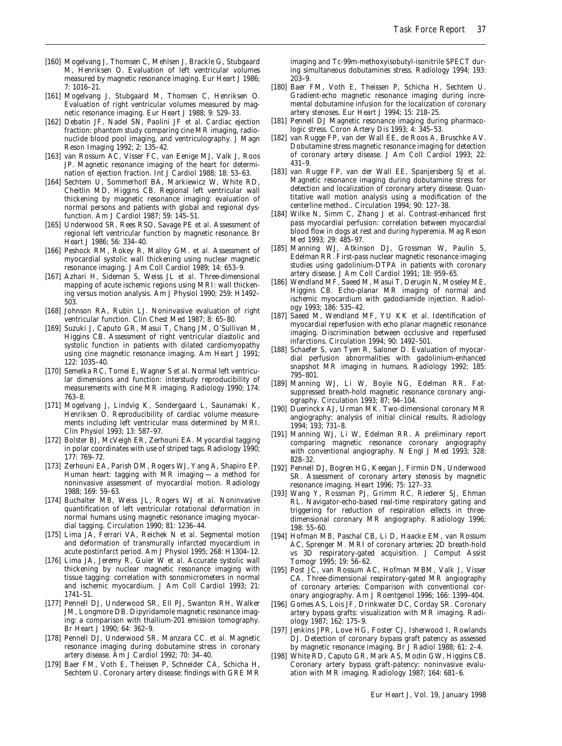- [160] Mogelvang J, Thomsen C, Mehlsen J, Brackle G, Stubgaard M, Henriksen O. Evaluation of left ventricular volumes measured by magnetic resonance imaging. Eur Heart J 1986; 7: 1016–21.
- [161] Mogelvang J, Stubgaard M, Thomsen C, Henriksen O. Evaluation of right ventricular volumes measured by magnetic resonance imaging. Eur Heart J 1988; 9: 529–33.
- [162] Debatin JF, Nadel SN, Paolini JF *et al*. Cardiac ejection fraction: phantom study comparing cine MR imaging, radionuclide blood pool imaging, and ventriculography. J Magn Reson Imaging 1992; 2: 135–42.
- [163] van Rossum AC, Visser FC, van Eenige MJ, Valk J, Roos JP. Magnetic resonance imaging of the heart for determination of ejection fraction. Int J Cardiol 1988; 18: 53–63.
- [164] Sechtem U, Sommerhoff BA, Markiewicz W, White RD, Cheitlin MD, Higgins CB. Regional left ventricular wall thickening by magnetic resonance imaging: evaluation of normal persons and patients with global and regional dysfunction. Am J Cardiol 1987; 59: 145–51.
- [165] Underwood SR, Rees RSO, Savage PE *et al*. Assessment of regional left ventricular function by magnetic resonance. Br Heart J 1986; 56: 334–40.
- [166] Peshock RM, Rokey R, Malloy GM. *et al*. Assessment of myocardial systolic wall thickening using nuclear magnetic resonance imaging. J Am Coll Cardiol 1989; 14: 653–9.
- [167] Azhari H, Sideman S, Weiss JL *et al*. Three-dimensional mapping of acute ischemic regions using MRI: wall thickening versus motion analysis. Am J Physiol 1990; 259: H1492– 503.
- [168] Johnson RA, Rubin LJ. Noninvasive evaluation of right ventricular function. Clin Chest Med 1987; 8: 65–80.
- [169] Suzuki J, Caputo GR, Masui T, Chang JM, O'Sullivan M, Higgins CB. Assessment of right ventricular diastolic and systolic function in patients with dilated cardiomyopathy using cine magnetic resonance imaging. Am Heart J 1991; 122: 1035–40.
- [170] Semelka RC, Tomei E, Wagner S *et al*. Normal left ventricular dimensions and function: interstudy reproducibility of measurements with cine MR imaging. Radiology 1990; 174: 763–8.
- [171] Mogelvang J, Lindvig K, Sondergaard L, Saunamaki K, Henriksen O. Reproducibility of cardiac volume measurements including left ventricular mass determined by MRI. Clin Physiol 1993; 13: 587–97.
- [172] Bolster BJ, McVeigh ER, Zerhouni EA. Myocardial tagging in polar coordinates with use of striped tags. Radiology 1990; 177: 769–72.
- [173] Zerhouni EA, Parish DM, Rogers WJ, Yang A, Shapiro EP. Human heart: tagging with MR imaging — a method for noninvasive assessment of myocardial motion. Radiology 1988; 169: 59–63.
- [174] Buchalter MB, Weiss JL, Rogers WJ *et al*. Noninvasive quantification of left ventricular rotational deformation in normal humans using magnetic resonance imaging myocardial tagging. Circulation 1990; 81: 1236–44.
- [175] Lima JA, Ferrari VA, Reichek N *et al*. Segmental motion and deformation of transmurally infarcted myocardium in acute postinfarct period. Am J Physiol 1995; 268: H1304–12.
- [176] Lima JA, Jeremy R, Guier W *et al*. Accurate systolic wall thickening by nuclear magnetic resonance imaging with tissue tagging: correlation with sonomicrometers in normal and ischemic myocardium. J Am Coll Cardiol 1993; 21: 1741–51.
- [177] Pennell DJ, Underwood SR, Ell PJ, Swanton RH, Walker JM, Longmore DB. Dipyridamole magnetic resonance imaging: a comparison with thallium-201 emission tomography. Br Heart J 1990; 64: 362–9.
- [178] Pennell DJ, Underwood SR, Manzara CC. *et al*. Magnetic resonance imaging during dobutamine stress in coronary artery disease. Am J Cardiol 1992; 70: 34–40.
- [179] Baer FM, Voth E, Theissen P, Schneider CA, Schicha H, Sechtem U. Coronary artery disease: findings with GRE MR

imaging and Tc-99m-methoxyisobutyl-isonitrile SPECT during simultaneous dobutamines stress. Radiology 1994; 193: 203–9.

- [180] Baer FM, Voth E, Theissen P, Schicha H, Sechtem U. Gradient-echo magnetic resonance imaging during incremental dobutamine infusion for the localization of coronary artery stenoses. Eur Heart J 1994; 15: 218–25.
- [181] Pennell DJ Magnetic resonance imaging during pharmacologic stress. Coron Artery Dis 1993; 4: 345–53.
- [182] van Rugge FP, van der Wall EE, de Roos A, Bruschke AV. Dobutamine stress magnetic resonance imaging for detection of coronary artery disease. J Am Coll Cardiol 1993; 22: 431–9.
- [183] van Rugge FP, van der Wall EE, Spanjersberg SJ *et al*. Magnetic resonance imaging during dobutamine stress for detection and localization of coronary artery disease. Quantitative wall motion analysis using a modification of the centerline method.. Circulation 1994; 90: 127–38.
- [184] Wilke N, Simm C, Zhang J *et al*. Contrast-enhanced first pass myocardial perfusion: correlation between myocardial blood flow in dogs at rest and during hyperemia. Mag Reson Med 1993; 29: 485–97.
- [185] Manning WJ, Atkinson DJ, Grossman W, Paulin S, Edelman RR. First-pass nuclear magnetic resonance imaging studies using gadolinium-DTPA in patients with coronary artery disease. J Am Coll Cardiol 1991; 18: 959–65.
- [186] Wendland MF, Saeed M, Masui T, Derugin N, Moseley ME, Higgins CB. Echo-planar MR imaging of normal and ischemic myocardium with gadodiamide injection. Radiology 1993; 186: 535–42.
- [187] Saeed M, Wendland MF, YU KK *et al*. Identification of myocardial reperfusion with echo planar magnetic resonance imaging. Discrimination between occlusive and reperfused infarctions. Circulation 1994; 90: 1492–501.
- [188] Schaefer S, van Tyen R, Saloner D. Evaluation of myocardial perfusion abnormalities with gadolinium-enhanced snapshot MR imaging in humans. Radiology 1992; 185: 795–801.
- [189] Manning WJ, Li W, Boyle NG, Edelman RR. Fatsuppressed breath-hold magnetic resonance coronary angiography. Circulation 1993; 87; 94–104.
- [190] Duerinckx AJ, Urman MK. Two-dimensional coronary MR angiography: analysis of initial clinical results. Radiology 1994; 193; 731–8.
- [191] Manning WJ, Li W, Edelman RR. A preliminary report comparing magnetic resonance coronary angiography with conventional angiography. N Engl J Med 1993; 328: 828–32.
- [192] Pennell DJ, Bogren HG, Keegan J, Firmin DN, Underwood SR. Assessment of coronary artery stenosis by magnetic resonance imaging. Heart 1996; 75: 127–33.
- [193] Wang Y, Rossman PJ, Grimm RC, Riederer SJ, Ehman RL. Navigator-echo-based real-time respiratory gating and triggering for reduction of respiration effects in threedimensional coronary MR angiography. Radiology 1996; 198: 55–60.
- [194] Hofman MB, Paschal CB, Li D, Haacke EM, van Rossum AC, Sprenger M. MRI of coronary arteries: 2D breath-hold vs 3D respiratory-gated acquisition. J Comput Assist Tomogr 1995; 19: 56–62.
- [195] Post JC, van Rossum AC, Hofman MBM, Valk J, Visser CA. Three-dimensional respiratory-gated MR angiography of coronary arteries: Comparison with conventional coronary angiography. Am J Roentgenol 1996; 166: 1399–404.
- [196] Gomes AS, Lois JF, Drinkwater DC, Corday SR. Coronary artery bypass grafts: visualization with MR imaging. Radiology 1987; 162: 175–9.
- [197] Jenkins JPR, Love HG, Foster CJ, Isherwood I, Rowlands DJ. Detection of coronary bypass graft patency as assessed by magnetic resonance imaging. Br J Radiol 1988; 61: 2–4.
- [198] White RD, Caputo GR, Mark AS, Modin GW, Higgins CB. Coronary artery bypass graft-patency: noninvasive evaluation with MR imaging. Radiology 1987; 164: 681–6.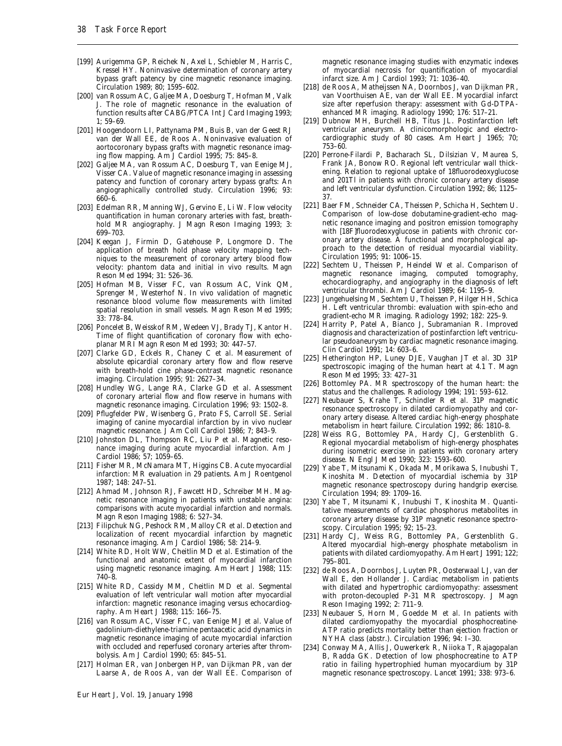- [199] Aurigemma GP, Reichek N, Axel L, Schiebler M, Harris C, Kressel HY. Noninvasive determination of coronary artery bypass graft patency by cine magnetic resonance imaging. Circulation 1989; 80; 1595–602.
- [200] van Rossum AC, Galjee MA, Doesburg T, Hofman M, Valk J. The role of magnetic resonance in the evaluation of function results after CABG/PTCA Int J Card Imaging 1993;  $1:59-69$
- [201] Hoogendoorn LI, Pattynama PM, Buis B, van der Geest RJ van der Wall EE, de Roos A. Noninvasive evaluation of aortocoronary bypass grafts with magnetic resonance imaging flow mapping. Am J Cardiol 1995; 75: 845–8.
- [202] Galjee MA, van Rossum AC, Doesburg T, van Eenige MJ, Visser CA. Value of magnetic resonance imaging in assessing patency and function of coronary artery bypass grafts: An angiographically controlled study. Circulation 1996; 93: 660–6.
- [203] Edelman RR, Manning WJ, Gervino E, Li W. Flow velocity quantification in human coronary arteries with fast, breathhold MR angiography. J Magn Reson Imaging 1993; 3: 699–703.
- [204] Keegan J, Firmin D, Gatehouse P, Longmore D. The application of breath hold phase velocity mapping techniques to the measurement of coronary artery blood flow velocity: phantom data and initial in vivo results. Magn Reson Med 1994; 31: 526–36.
- [205] Hofman MB, Visser FC, van Rossum AC, Vink QM, Sprenger M, Westerhof N. In vivo validation of magnetic resonance blood volume flow measurements with limited spatial resolution in small vessels. Magn Reson Med 1995; 33: 778–84.
- [206] Poncelet B, Weisskof RM, Wedeen VJ, Brady TJ, Kantor H. Time of flight quantification of coronary flow with echoplanar MRI Magn Reson Med 1993; 30: 447–57.
- [207] Clarke GD, Eckels R, Chaney C *et al*. Measurement of absolute epicardial coronary artery flow and flow reserve with breath-hold cine phase-contrast magnetic resonance imaging. Circulation 1995; 91: 2627–34.
- [208] Hundley WG, Lange RA, Clarke GD *et al*. Assessment of coronary arterial flow and flow reserve in humans with magnetic resonance imaging. Circulation 1996; 93: 1502–8.
- [209] Pflugfelder PW, Wisenberg G, Prato FS, Carroll SE. Serial imaging of canine myocardial infarction by in vivo nuclear magnetic resonance. J Am Coll Cardiol 1986; 7; 843–9.
- [210] Johnston DL, Thompson RC, Liu P *et al*. Magnetic resonance imaging during acute myocardial infarction. Am J Cardiol 1986; 57; 1059–65.
- [211] Fisher MR, McNamara MT, Higgins CB. Acute myocardial infarction: MR evaluation in 29 patients. Am J Roentgenol 1987; 148: 247–51.
- [212] Ahmad M, Johnson RJ, Fawcett HD, Schreiber MH. Magnetic resonance imaging in patients with unstable angina: comparisons with acute myocardial infarction and normals. Magn Reson Imaging 1988; 6: 527–34.
- [213] Filipchuk NG, Peshock RM, Malloy CR *et al*. Detection and localization of recent myocardial infarction by magnetic resonance imaging. Am J Cardiol 1986; 58: 214–9.
- [214] White RD, Holt WW, Cheitlin MD *et al*. Estimation of the functional and anatomic extent of myocardial infarction using magnetic resonance imaging. Am Heart J 1988; 115: 740–8.
- [215] White RD, Cassidy MM, Cheitlin MD *et al*. Segmental evaluation of left ventricular wall motion after myocardial infarction: magnetic resonance imaging versus echocardiography. Am Heart J 1988; 115: 166–75.
- [216] van Rossum AC, Visser FC, van Eenige MJ *et al*. Value of gadolinium-diethylene-triamine pentaacetic acid dynamics in magnetic resonance imaging of acute myocardial infarction with occluded and reperfused coronary arteries after thrombolysis. Am J Cardiol 1990; 65: 845–51.
- [217] Holman ER, van Jonbergen HP, van Dijkman PR, van der Laarse A, de Roos A, van der Wall EE. Comparison of

magnetic resonance imaging studies with enzymatic indexes of myocardial necrosis for quantification of myocardial infarct size. Am J Cardiol 1993; 71: 1036–40.

- [218] de Roos A, Matheijssen NA, Doornbos J, van Dijkman PR, van Voorthuisen AE, van der Wall EE. Myocardial infarct size after reperfusion therapy: assessment with Gd-DTPAenhanced MR imaging. Radiology 1990; 176: 517–21.
- [219] Dubnow MH, Burchell HB, Titus JL. Postinfarction left ventricular aneurysm. A clinicomorphologic and electrocardiographic study of 80 cases. Am Heart J 1965; 70; 753–60.
- [220] Perrone-Filardi P, Bacharach SL, Dilsizian V, Maurea S, Frank JA, Bonow RO. Regional left ventricular wall thickening. Relation to regional uptake of 18fluorodeoxyglucose and 201Tl in patients with chronic coronary artery disease and left ventricular dysfunction. Circulation 1992; 86; 1125– 37.
- [221] Baer FM, Schneider CA, Theissen P, Schicha H, Sechtem U. Comparison of low-dose dobutamine-gradient-echo magnetic resonance imaging and positron emission tomography with [18F]fluorodeoxyglucose in patients with chronic coronary artery disease. A functional and morphological approach to the detection of residual myocardial viability. Circulation 1995; 91: 1006–15.
- [222] Sechtem U, Theissen P, Heindel W *et al*. Comparison of magnetic resonance imaging, computed tomography, echocardiography, and angiography in the diagnosis of left ventricular thrombi. Am J Cardiol 1989; 64: 1195–9.
- [223] Jungehuelsing M, Sechtem U, Theissen P, Hilger HH, Schica H. Left ventricular thrombi: evaluation with spin-echo and gradient-echo MR imaging. Radiology 1992; 182: 225–9.
- [224] Harrity P, Patel A, Bianco J, Subramanian R. Improved diagnosis and characterization of postinfarction left ventricular pseudoaneurysm by cardiac magnetic resonance imaging. Clin Cardiol 1991; 14: 603–6.
- [225] Hetherington HP, Luney DJE, Vaughan JT *et al*. 3D 31P spectroscopic imaging of the human heart at 4.1 T. Magn Reson Med 1995; 33: 427–31
- [226] Bottomley PA. MR spectroscopy of the human heart: the status and the challenges. Radiology 1994; 191: 593–612.
- [227] Neubauer S, Krahe T, Schindler R *et al*. 31P magnetic resonance spectroscopy in dilated cardiomyopathy and coronary artery disease. Altered cardiac high-energy phosphate metabolism in heart failure. Circulation 1992; 86: 1810–8.
- [228] Weiss RG, Bottomley PA, Hardy CJ, Gerstenblith G. Regional myocardial metabolism of high-energy phosphates during isometric exercise in patients with coronary artery disease. N Engl J Med 1990; 323: 1593–600.
- [229] Yabe T, Mitsunami K, Okada M, Morikawa S, Inubushi T, Kinoshita M. Detection of myocardial ischemia by 31P magnetic resonance spectroscopy during handgrip exercise. Circulation 1994; 89: 1709–16.
- [230] Yabe T, Mitsunami K, Inubushi T, Kinoshita M. Quantitative measurements of cardiac phosphorus metabolites in coronary artery disease by 31P magnetic resonance spectroscopy. Circulation 1995; 92; 15–23.
- [231] Hardy CJ, Weiss RG, Bottomley PA, Gerstenblith G. Altered myocardial high-energy phosphate metabolism in patients with dilated cardiomyopathy. Am Heart J 1991; 122; 795–801.
- [232] de Roos A, Doornbos J, Luyten PR, Oosterwaal LJ, van der Wall E, den Hollander J. Cardiac metabolism in patients with dilated and hypertrophic cardiomyopathy: assessment with proton-decoupled P-31 MR spectroscopy. J Magn Reson Imaging 1992; 2: 711–9.
- [233] Neubauer S, Horn M, Goedde M *et al*. In patients with dilated cardiomyopathy the myocardial phosphocreatine-ATP ratio predicts mortality better than ejection fraction or NYHA class (abstr.). Circulation 1996; 94: I–30.
- [234] Conway MA, Allis J, Ouwerkerk R, Niioka T, Rajagopalan B, Radda GK. Detection of low phosphocreatine to ATP ratio in failing hypertrophied human myocardium by 31P magnetic resonance spectroscopy. Lancet 1991; 338: 973–6.